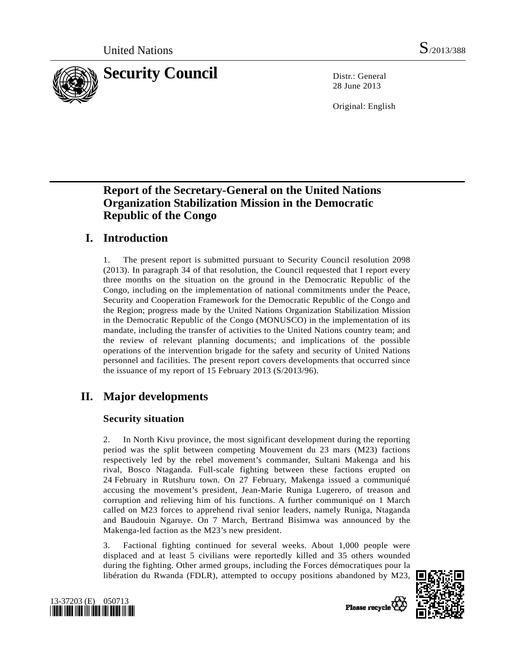

28 June 2013

Original: English

# **Report of the Secretary-General on the United Nations Organization Stabilization Mission in the Democratic Republic of the Congo**

# **I. Introduction**

1. The present report is submitted pursuant to Security Council resolution 2098 (2013). In paragraph 34 of that resolution, the Council requested that I report every three months on the situation on the ground in the Democratic Republic of the Congo, including on the implementation of national commitments under the Peace, Security and Cooperation Framework for the Democratic Republic of the Congo and the Region; progress made by the United Nations Organization Stabilization Mission in the Democratic Republic of the Congo (MONUSCO) in the implementation of its mandate, including the transfer of activities to the United Nations country team; and the review of relevant planning documents; and implications of the possible operations of the intervention brigade for the safety and security of United Nations personnel and facilities. The present report covers developments that occurred since the issuance of my report of 15 February 2013 (S/2013/96).

# **II. Major developments**

# **Security situation**

2. In North Kivu province, the most significant development during the reporting period was the split between competing Mouvement du 23 mars (M23) factions respectively led by the rebel movement's commander, Sultani Makenga and his rival, Bosco Ntaganda. Full-scale fighting between these factions erupted on 24 February in Rutshuru town. On 27 February, Makenga issued a communiqué accusing the movement's president, Jean-Marie Runiga Lugerero, of treason and corruption and relieving him of his functions. A further communiqué on 1 March called on M23 forces to apprehend rival senior leaders, namely Runiga, Ntaganda and Baudouin Ngaruye. On 7 March, Bertrand Bisimwa was announced by the Makenga-led faction as the M23's new president.

3. Factional fighting continued for several weeks. About 1,000 people were displaced and at least 5 civilians were reportedly killed and 35 others wounded during the fighting. Other armed groups, including the Forces démocratiques pour la libération du Rwanda (FDLR), attempted to occupy positions abandoned by M23,





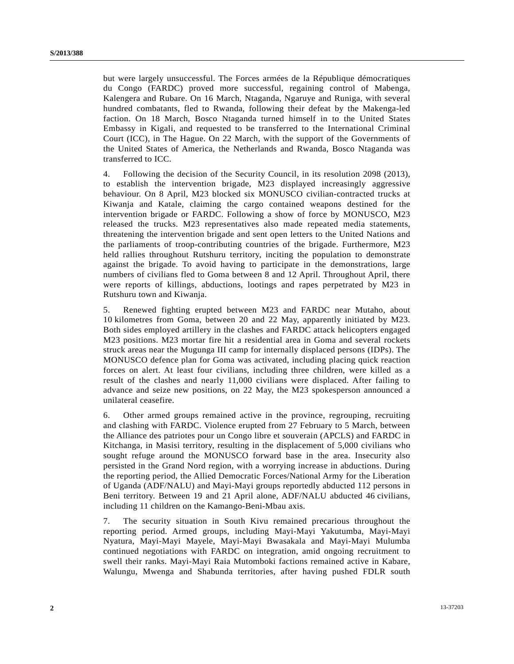but were largely unsuccessful. The Forces armées de la République démocratiques du Congo (FARDC) proved more successful, regaining control of Mabenga, Kalengera and Rubare. On 16 March, Ntaganda, Ngaruye and Runiga, with several hundred combatants, fled to Rwanda, following their defeat by the Makenga-led faction. On 18 March, Bosco Ntaganda turned himself in to the United States Embassy in Kigali, and requested to be transferred to the International Criminal Court (ICC), in The Hague. On 22 March, with the support of the Governments of the United States of America, the Netherlands and Rwanda, Bosco Ntaganda was transferred to ICC.

4. Following the decision of the Security Council, in its resolution 2098 (2013), to establish the intervention brigade, M23 displayed increasingly aggressive behaviour. On 8 April, M23 blocked six MONUSCO civilian-contracted trucks at Kiwanja and Katale, claiming the cargo contained weapons destined for the intervention brigade or FARDC. Following a show of force by MONUSCO, M23 released the trucks. M23 representatives also made repeated media statements, threatening the intervention brigade and sent open letters to the United Nations and the parliaments of troop-contributing countries of the brigade. Furthermore, M23 held rallies throughout Rutshuru territory, inciting the population to demonstrate against the brigade. To avoid having to participate in the demonstrations, large numbers of civilians fled to Goma between 8 and 12 April. Throughout April, there were reports of killings, abductions, lootings and rapes perpetrated by M23 in Rutshuru town and Kiwanja.

5. Renewed fighting erupted between M23 and FARDC near Mutaho, about 10 kilometres from Goma, between 20 and 22 May, apparently initiated by M23. Both sides employed artillery in the clashes and FARDC attack helicopters engaged M23 positions. M23 mortar fire hit a residential area in Goma and several rockets struck areas near the Mugunga III camp for internally displaced persons (IDPs). The MONUSCO defence plan for Goma was activated, including placing quick reaction forces on alert. At least four civilians, including three children, were killed as a result of the clashes and nearly 11,000 civilians were displaced. After failing to advance and seize new positions, on 22 May, the M23 spokesperson announced a unilateral ceasefire.

6. Other armed groups remained active in the province, regrouping, recruiting and clashing with FARDC. Violence erupted from 27 February to 5 March, between the Alliance des patriotes pour un Congo libre et souverain (APCLS) and FARDC in Kitchanga, in Masisi territory, resulting in the displacement of 5,000 civilians who sought refuge around the MONUSCO forward base in the area. Insecurity also persisted in the Grand Nord region, with a worrying increase in abductions. During the reporting period, the Allied Democratic Forces/National Army for the Liberation of Uganda (ADF/NALU) and Mayi-Mayi groups reportedly abducted 112 persons in Beni territory. Between 19 and 21 April alone, ADF/NALU abducted 46 civilians, including 11 children on the Kamango-Beni-Mbau axis.

7. The security situation in South Kivu remained precarious throughout the reporting period. Armed groups, including Mayi-Mayi Yakutumba, Mayi-Mayi Nyatura, Mayi-Mayi Mayele, Mayi-Mayi Bwasakala and Mayi-Mayi Mulumba continued negotiations with FARDC on integration, amid ongoing recruitment to swell their ranks. Mayi-Mayi Raia Mutomboki factions remained active in Kabare, Walungu, Mwenga and Shabunda territories, after having pushed FDLR south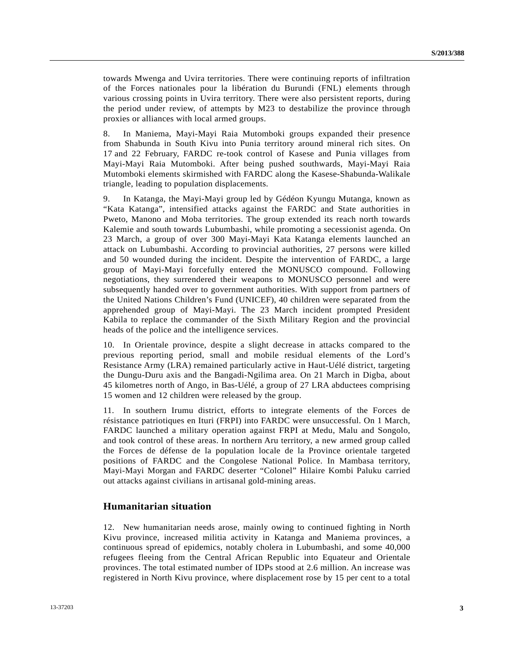towards Mwenga and Uvira territories. There were continuing reports of infiltration of the Forces nationales pour la libération du Burundi (FNL) elements through various crossing points in Uvira territory. There were also persistent reports, during the period under review, of attempts by M23 to destabilize the province through proxies or alliances with local armed groups.

8. In Maniema, Mayi-Mayi Raia Mutomboki groups expanded their presence from Shabunda in South Kivu into Punia territory around mineral rich sites. On 17 and 22 February, FARDC re-took control of Kasese and Punia villages from Mayi-Mayi Raia Mutomboki. After being pushed southwards, Mayi-Mayi Raia Mutomboki elements skirmished with FARDC along the Kasese-Shabunda-Walikale triangle, leading to population displacements.

9. In Katanga, the Mayi-Mayi group led by Gédéon Kyungu Mutanga, known as "Kata Katanga", intensified attacks against the FARDC and State authorities in Pweto, Manono and Moba territories. The group extended its reach north towards Kalemie and south towards Lubumbashi, while promoting a secessionist agenda. On 23 March, a group of over 300 Mayi-Mayi Kata Katanga elements launched an attack on Lubumbashi. According to provincial authorities, 27 persons were killed and 50 wounded during the incident. Despite the intervention of FARDC, a large group of Mayi-Mayi forcefully entered the MONUSCO compound. Following negotiations, they surrendered their weapons to MONUSCO personnel and were subsequently handed over to government authorities. With support from partners of the United Nations Children's Fund (UNICEF), 40 children were separated from the apprehended group of Mayi-Mayi. The 23 March incident prompted President Kabila to replace the commander of the Sixth Military Region and the provincial heads of the police and the intelligence services.

10. In Orientale province, despite a slight decrease in attacks compared to the previous reporting period, small and mobile residual elements of the Lord's Resistance Army (LRA) remained particularly active in Haut-Uélé district, targeting the Dungu-Duru axis and the Bangadi-Ngilima area. On 21 March in Digba, about 45 kilometres north of Ango, in Bas-Uélé, a group of 27 LRA abductees comprising 15 women and 12 children were released by the group.

11. In southern Irumu district, efforts to integrate elements of the Forces de résistance patriotiques en Ituri (FRPI) into FARDC were unsuccessful. On 1 March, FARDC launched a military operation against FRPI at Medu, Malu and Songolo, and took control of these areas. In northern Aru territory, a new armed group called the Forces de défense de la population locale de la Province orientale targeted positions of FARDC and the Congolese National Police. In Mambasa territory, Mayi-Mayi Morgan and FARDC deserter "Colonel" Hilaire Kombi Paluku carried out attacks against civilians in artisanal gold-mining areas.

### **Humanitarian situation**

12. New humanitarian needs arose, mainly owing to continued fighting in North Kivu province, increased militia activity in Katanga and Maniema provinces, a continuous spread of epidemics, notably cholera in Lubumbashi, and some 40,000 refugees fleeing from the Central African Republic into Equateur and Orientale provinces. The total estimated number of IDPs stood at 2.6 million. An increase was registered in North Kivu province, where displacement rose by 15 per cent to a total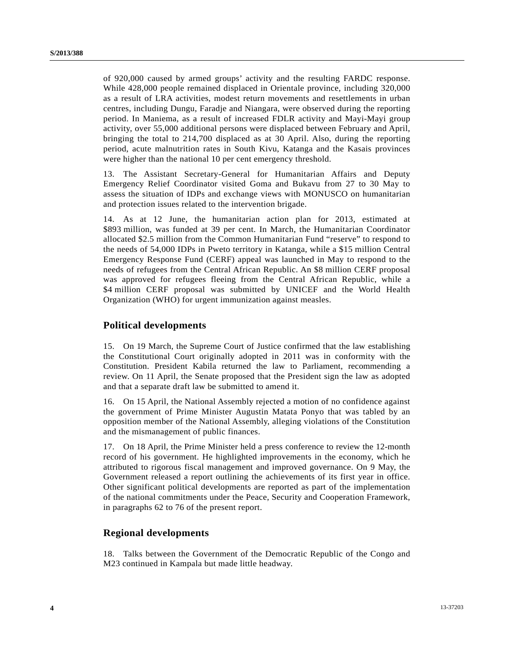of 920,000 caused by armed groups' activity and the resulting FARDC response. While 428,000 people remained displaced in Orientale province, including 320,000 as a result of LRA activities, modest return movements and resettlements in urban centres, including Dungu, Faradje and Niangara, were observed during the reporting period. In Maniema, as a result of increased FDLR activity and Mayi-Mayi group activity, over 55,000 additional persons were displaced between February and April, bringing the total to 214,700 displaced as at 30 April. Also, during the reporting period, acute malnutrition rates in South Kivu, Katanga and the Kasais provinces were higher than the national 10 per cent emergency threshold.

13. The Assistant Secretary-General for Humanitarian Affairs and Deputy Emergency Relief Coordinator visited Goma and Bukavu from 27 to 30 May to assess the situation of IDPs and exchange views with MONUSCO on humanitarian and protection issues related to the intervention brigade.

14. As at 12 June, the humanitarian action plan for 2013, estimated at \$893 million, was funded at 39 per cent. In March, the Humanitarian Coordinator allocated \$2.5 million from the Common Humanitarian Fund "reserve" to respond to the needs of 54,000 IDPs in Pweto territory in Katanga, while a \$15 million Central Emergency Response Fund (CERF) appeal was launched in May to respond to the needs of refugees from the Central African Republic. An \$8 million CERF proposal was approved for refugees fleeing from the Central African Republic, while a \$4 million CERF proposal was submitted by UNICEF and the World Health Organization (WHO) for urgent immunization against measles.

#### **Political developments**

15. On 19 March, the Supreme Court of Justice confirmed that the law establishing the Constitutional Court originally adopted in 2011 was in conformity with the Constitution. President Kabila returned the law to Parliament, recommending a review. On 11 April, the Senate proposed that the President sign the law as adopted and that a separate draft law be submitted to amend it.

16. On 15 April, the National Assembly rejected a motion of no confidence against the government of Prime Minister Augustin Matata Ponyo that was tabled by an opposition member of the National Assembly, alleging violations of the Constitution and the mismanagement of public finances.

17. On 18 April, the Prime Minister held a press conference to review the 12-month record of his government. He highlighted improvements in the economy, which he attributed to rigorous fiscal management and improved governance. On 9 May, the Government released a report outlining the achievements of its first year in office. Other significant political developments are reported as part of the implementation of the national commitments under the Peace, Security and Cooperation Framework, in paragraphs 62 to 76 of the present report.

#### **Regional developments**

18. Talks between the Government of the Democratic Republic of the Congo and M23 continued in Kampala but made little headway.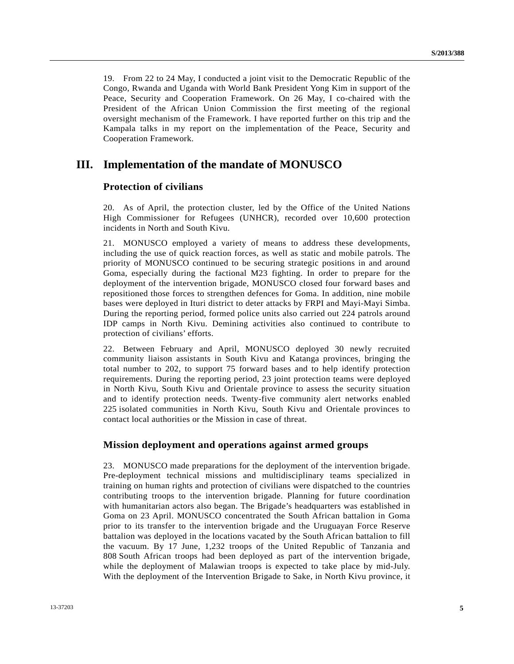19. From 22 to 24 May, I conducted a joint visit to the Democratic Republic of the Congo, Rwanda and Uganda with World Bank President Yong Kim in support of the Peace, Security and Cooperation Framework. On 26 May, I co-chaired with the President of the African Union Commission the first meeting of the regional oversight mechanism of the Framework. I have reported further on this trip and the Kampala talks in my report on the implementation of the Peace, Security and Cooperation Framework.

# **III. Implementation of the mandate of MONUSCO**

## **Protection of civilians**

20. As of April, the protection cluster, led by the Office of the United Nations High Commissioner for Refugees (UNHCR), recorded over 10,600 protection incidents in North and South Kivu.

21. MONUSCO employed a variety of means to address these developments, including the use of quick reaction forces, as well as static and mobile patrols. The priority of MONUSCO continued to be securing strategic positions in and around Goma, especially during the factional M23 fighting. In order to prepare for the deployment of the intervention brigade, MONUSCO closed four forward bases and repositioned those forces to strengthen defences for Goma. In addition, nine mobile bases were deployed in Ituri district to deter attacks by FRPI and Mayi-Mayi Simba. During the reporting period, formed police units also carried out 224 patrols around IDP camps in North Kivu. Demining activities also continued to contribute to protection of civilians' efforts.

22. Between February and April, MONUSCO deployed 30 newly recruited community liaison assistants in South Kivu and Katanga provinces, bringing the total number to 202, to support 75 forward bases and to help identify protection requirements. During the reporting period, 23 joint protection teams were deployed in North Kivu, South Kivu and Orientale province to assess the security situation and to identify protection needs. Twenty-five community alert networks enabled 225 isolated communities in North Kivu, South Kivu and Orientale provinces to contact local authorities or the Mission in case of threat.

### **Mission deployment and operations against armed groups**

23. MONUSCO made preparations for the deployment of the intervention brigade. Pre-deployment technical missions and multidisciplinary teams specialized in training on human rights and protection of civilians were dispatched to the countries contributing troops to the intervention brigade. Planning for future coordination with humanitarian actors also began. The Brigade's headquarters was established in Goma on 23 April. MONUSCO concentrated the South African battalion in Goma prior to its transfer to the intervention brigade and the Uruguayan Force Reserve battalion was deployed in the locations vacated by the South African battalion to fill the vacuum. By 17 June, 1,232 troops of the United Republic of Tanzania and 808 South African troops had been deployed as part of the intervention brigade, while the deployment of Malawian troops is expected to take place by mid-July. With the deployment of the Intervention Brigade to Sake, in North Kivu province, it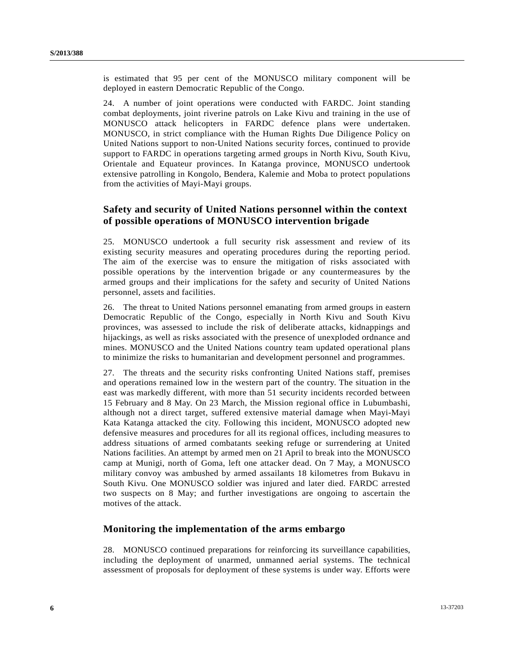is estimated that 95 per cent of the MONUSCO military component will be deployed in eastern Democratic Republic of the Congo.

24. A number of joint operations were conducted with FARDC. Joint standing combat deployments, joint riverine patrols on Lake Kivu and training in the use of MONUSCO attack helicopters in FARDC defence plans were undertaken. MONUSCO, in strict compliance with the Human Rights Due Diligence Policy on United Nations support to non-United Nations security forces, continued to provide support to FARDC in operations targeting armed groups in North Kivu, South Kivu, Orientale and Equateur provinces. In Katanga province, MONUSCO undertook extensive patrolling in Kongolo, Bendera, Kalemie and Moba to protect populations from the activities of Mayi-Mayi groups.

## **Safety and security of United Nations personnel within the context of possible operations of MONUSCO intervention brigade**

25. MONUSCO undertook a full security risk assessment and review of its existing security measures and operating procedures during the reporting period. The aim of the exercise was to ensure the mitigation of risks associated with possible operations by the intervention brigade or any countermeasures by the armed groups and their implications for the safety and security of United Nations personnel, assets and facilities.

26. The threat to United Nations personnel emanating from armed groups in eastern Democratic Republic of the Congo, especially in North Kivu and South Kivu provinces, was assessed to include the risk of deliberate attacks, kidnappings and hijackings, as well as risks associated with the presence of unexploded ordnance and mines. MONUSCO and the United Nations country team updated operational plans to minimize the risks to humanitarian and development personnel and programmes.

27. The threats and the security risks confronting United Nations staff, premises and operations remained low in the western part of the country. The situation in the east was markedly different, with more than 51 security incidents recorded between 15 February and 8 May. On 23 March, the Mission regional office in Lubumbashi, although not a direct target, suffered extensive material damage when Mayi-Mayi Kata Katanga attacked the city. Following this incident, MONUSCO adopted new defensive measures and procedures for all its regional offices, including measures to address situations of armed combatants seeking refuge or surrendering at United Nations facilities. An attempt by armed men on 21 April to break into the MONUSCO camp at Munigi, north of Goma, left one attacker dead. On 7 May, a MONUSCO military convoy was ambushed by armed assailants 18 kilometres from Bukavu in South Kivu. One MONUSCO soldier was injured and later died. FARDC arrested two suspects on 8 May; and further investigations are ongoing to ascertain the motives of the attack.

### **Monitoring the implementation of the arms embargo**

28. MONUSCO continued preparations for reinforcing its surveillance capabilities, including the deployment of unarmed, unmanned aerial systems. The technical assessment of proposals for deployment of these systems is under way. Efforts were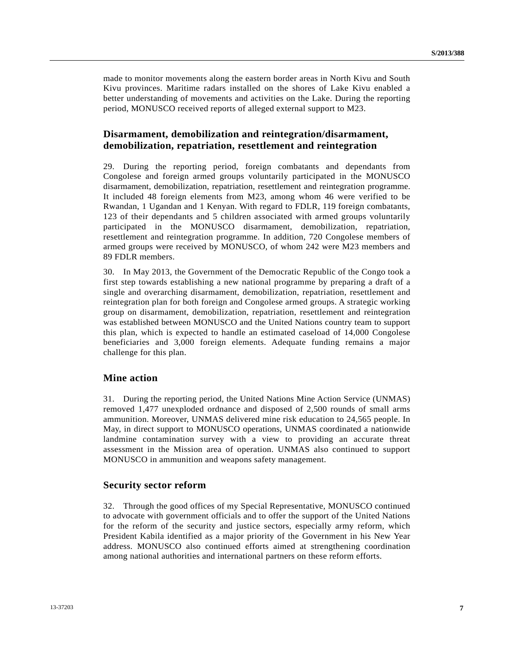made to monitor movements along the eastern border areas in North Kivu and South Kivu provinces. Maritime radars installed on the shores of Lake Kivu enabled a better understanding of movements and activities on the Lake. During the reporting period, MONUSCO received reports of alleged external support to M23.

## **Disarmament, demobilization and reintegration/disarmament, demobilization, repatriation, resettlement and reintegration**

29. During the reporting period, foreign combatants and dependants from Congolese and foreign armed groups voluntarily participated in the MONUSCO disarmament, demobilization, repatriation, resettlement and reintegration programme. It included 48 foreign elements from M23, among whom 46 were verified to be Rwandan, 1 Ugandan and 1 Kenyan. With regard to FDLR, 119 foreign combatants, 123 of their dependants and 5 children associated with armed groups voluntarily participated in the MONUSCO disarmament, demobilization, repatriation, resettlement and reintegration programme. In addition, 720 Congolese members of armed groups were received by MONUSCO, of whom 242 were M23 members and 89 FDLR members.

30. In May 2013, the Government of the Democratic Republic of the Congo took a first step towards establishing a new national programme by preparing a draft of a single and overarching disarmament, demobilization, repatriation, resettlement and reintegration plan for both foreign and Congolese armed groups. A strategic working group on disarmament, demobilization, repatriation, resettlement and reintegration was established between MONUSCO and the United Nations country team to support this plan, which is expected to handle an estimated caseload of 14,000 Congolese beneficiaries and 3,000 foreign elements. Adequate funding remains a major challenge for this plan.

### **Mine action**

31. During the reporting period, the United Nations Mine Action Service (UNMAS) removed 1,477 unexploded ordnance and disposed of 2,500 rounds of small arms ammunition. Moreover, UNMAS delivered mine risk education to 24,565 people. In May, in direct support to MONUSCO operations, UNMAS coordinated a nationwide landmine contamination survey with a view to providing an accurate threat assessment in the Mission area of operation. UNMAS also continued to support MONUSCO in ammunition and weapons safety management.

#### **Security sector reform**

32. Through the good offices of my Special Representative, MONUSCO continued to advocate with government officials and to offer the support of the United Nations for the reform of the security and justice sectors, especially army reform, which President Kabila identified as a major priority of the Government in his New Year address. MONUSCO also continued efforts aimed at strengthening coordination among national authorities and international partners on these reform efforts.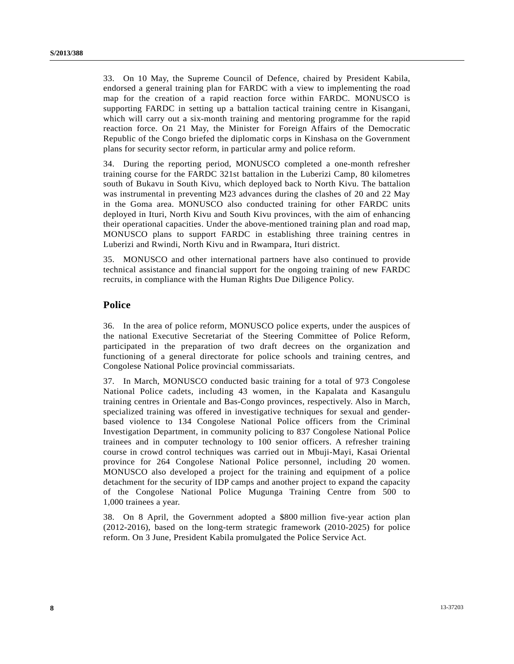33. On 10 May, the Supreme Council of Defence, chaired by President Kabila, endorsed a general training plan for FARDC with a view to implementing the road map for the creation of a rapid reaction force within FARDC. MONUSCO is supporting FARDC in setting up a battalion tactical training centre in Kisangani, which will carry out a six-month training and mentoring programme for the rapid reaction force. On 21 May, the Minister for Foreign Affairs of the Democratic Republic of the Congo briefed the diplomatic corps in Kinshasa on the Government plans for security sector reform, in particular army and police reform.

34. During the reporting period, MONUSCO completed a one-month refresher training course for the FARDC 321st battalion in the Luberizi Camp, 80 kilometres south of Bukavu in South Kivu, which deployed back to North Kivu. The battalion was instrumental in preventing M23 advances during the clashes of 20 and 22 May in the Goma area. MONUSCO also conducted training for other FARDC units deployed in Ituri, North Kivu and South Kivu provinces, with the aim of enhancing their operational capacities. Under the above-mentioned training plan and road map, MONUSCO plans to support FARDC in establishing three training centres in Luberizi and Rwindi, North Kivu and in Rwampara, Ituri district.

35. MONUSCO and other international partners have also continued to provide technical assistance and financial support for the ongoing training of new FARDC recruits, in compliance with the Human Rights Due Diligence Policy.

## **Police**

36. In the area of police reform, MONUSCO police experts, under the auspices of the national Executive Secretariat of the Steering Committee of Police Reform, participated in the preparation of two draft decrees on the organization and functioning of a general directorate for police schools and training centres, and Congolese National Police provincial commissariats.

37. In March, MONUSCO conducted basic training for a total of 973 Congolese National Police cadets, including 43 women, in the Kapalata and Kasangulu training centres in Orientale and Bas-Congo provinces, respectively. Also in March, specialized training was offered in investigative techniques for sexual and genderbased violence to 134 Congolese National Police officers from the Criminal Investigation Department, in community policing to 837 Congolese National Police trainees and in computer technology to 100 senior officers. A refresher training course in crowd control techniques was carried out in Mbuji-Mayi, Kasai Oriental province for 264 Congolese National Police personnel, including 20 women. MONUSCO also developed a project for the training and equipment of a police detachment for the security of IDP camps and another project to expand the capacity of the Congolese National Police Mugunga Training Centre from 500 to 1,000 trainees a year.

38. On 8 April, the Government adopted a \$800 million five-year action plan (2012-2016), based on the long-term strategic framework (2010-2025) for police reform. On 3 June, President Kabila promulgated the Police Service Act.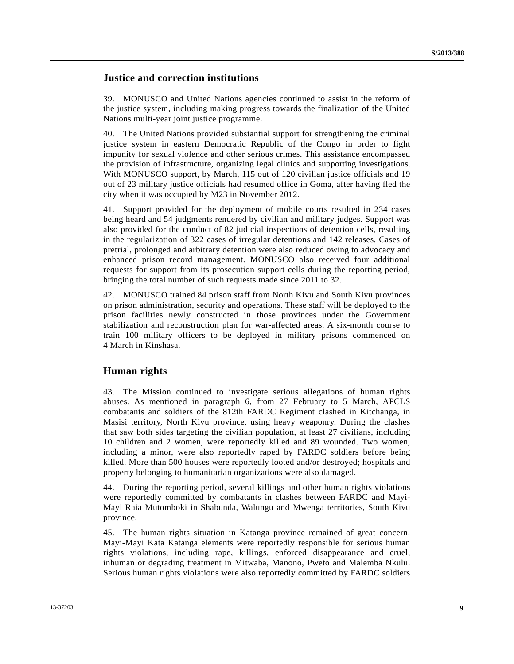### **Justice and correction institutions**

39. MONUSCO and United Nations agencies continued to assist in the reform of the justice system, including making progress towards the finalization of the United Nations multi-year joint justice programme.

40. The United Nations provided substantial support for strengthening the criminal justice system in eastern Democratic Republic of the Congo in order to fight impunity for sexual violence and other serious crimes. This assistance encompassed the provision of infrastructure, organizing legal clinics and supporting investigations. With MONUSCO support, by March, 115 out of 120 civilian justice officials and 19 out of 23 military justice officials had resumed office in Goma, after having fled the city when it was occupied by M23 in November 2012.

41. Support provided for the deployment of mobile courts resulted in 234 cases being heard and 54 judgments rendered by civilian and military judges. Support was also provided for the conduct of 82 judicial inspections of detention cells, resulting in the regularization of 322 cases of irregular detentions and 142 releases. Cases of pretrial, prolonged and arbitrary detention were also reduced owing to advocacy and enhanced prison record management. MONUSCO also received four additional requests for support from its prosecution support cells during the reporting period, bringing the total number of such requests made since 2011 to 32.

42. MONUSCO trained 84 prison staff from North Kivu and South Kivu provinces on prison administration, security and operations. These staff will be deployed to the prison facilities newly constructed in those provinces under the Government stabilization and reconstruction plan for war-affected areas. A six-month course to train 100 military officers to be deployed in military prisons commenced on 4 March in Kinshasa.

### **Human rights**

43. The Mission continued to investigate serious allegations of human rights abuses. As mentioned in paragraph 6, from 27 February to 5 March, APCLS combatants and soldiers of the 812th FARDC Regiment clashed in Kitchanga, in Masisi territory, North Kivu province, using heavy weaponry. During the clashes that saw both sides targeting the civilian population, at least 27 civilians, including 10 children and 2 women, were reportedly killed and 89 wounded. Two women, including a minor, were also reportedly raped by FARDC soldiers before being killed. More than 500 houses were reportedly looted and/or destroyed; hospitals and property belonging to humanitarian organizations were also damaged.

44. During the reporting period, several killings and other human rights violations were reportedly committed by combatants in clashes between FARDC and Mayi-Mayi Raia Mutomboki in Shabunda, Walungu and Mwenga territories, South Kivu province.

45. The human rights situation in Katanga province remained of great concern. Mayi-Mayi Kata Katanga elements were reportedly responsible for serious human rights violations, including rape, killings, enforced disappearance and cruel, inhuman or degrading treatment in Mitwaba, Manono, Pweto and Malemba Nkulu. Serious human rights violations were also reportedly committed by FARDC soldiers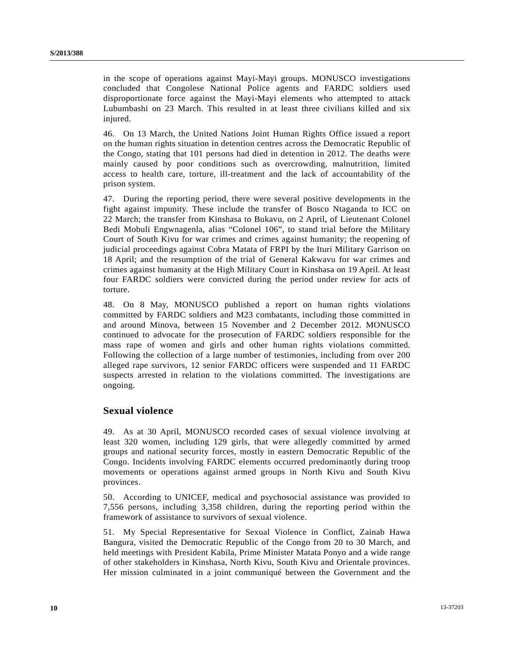in the scope of operations against Mayi-Mayi groups. MONUSCO investigations concluded that Congolese National Police agents and FARDC soldiers used disproportionate force against the Mayi-Mayi elements who attempted to attack Lubumbashi on 23 March. This resulted in at least three civilians killed and six injured.

46. On 13 March, the United Nations Joint Human Rights Office issued a report on the human rights situation in detention centres across the Democratic Republic of the Congo, stating that 101 persons had died in detention in 2012. The deaths were mainly caused by poor conditions such as overcrowding, malnutrition, limited access to health care, torture, ill-treatment and the lack of accountability of the prison system.

47. During the reporting period, there were several positive developments in the fight against impunity. These include the transfer of Bosco Ntaganda to ICC on 22 March; the transfer from Kinshasa to Bukavu, on 2 April, of Lieutenant Colonel Bedi Mobuli Engwnagenla, alias "Colonel 106", to stand trial before the Military Court of South Kivu for war crimes and crimes against humanity; the reopening of judicial proceedings against Cobra Matata of FRPI by the Ituri Military Garrison on 18 April; and the resumption of the trial of General Kakwavu for war crimes and crimes against humanity at the High Military Court in Kinshasa on 19 April. At least four FARDC soldiers were convicted during the period under review for acts of torture.

48. On 8 May, MONUSCO published a report on human rights violations committed by FARDC soldiers and M23 combatants, including those committed in and around Minova, between 15 November and 2 December 2012. MONUSCO continued to advocate for the prosecution of FARDC soldiers responsible for the mass rape of women and girls and other human rights violations committed. Following the collection of a large number of testimonies, including from over 200 alleged rape survivors, 12 senior FARDC officers were suspended and 11 FARDC suspects arrested in relation to the violations committed. The investigations are ongoing.

## **Sexual violence**

49. As at 30 April, MONUSCO recorded cases of sexual violence involving at least 320 women, including 129 girls, that were allegedly committed by armed groups and national security forces, mostly in eastern Democratic Republic of the Congo. Incidents involving FARDC elements occurred predominantly during troop movements or operations against armed groups in North Kivu and South Kivu provinces.

50. According to UNICEF, medical and psychosocial assistance was provided to 7,556 persons, including 3,358 children, during the reporting period within the framework of assistance to survivors of sexual violence.

51. My Special Representative for Sexual Violence in Conflict, Zainab Hawa Bangura, visited the Democratic Republic of the Congo from 20 to 30 March, and held meetings with President Kabila, Prime Minister Matata Ponyo and a wide range of other stakeholders in Kinshasa, North Kivu, South Kivu and Orientale provinces. Her mission culminated in a joint communiqué between the Government and the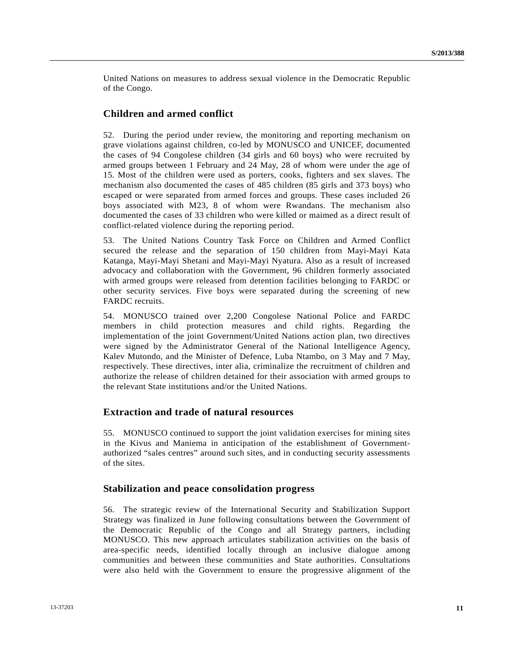United Nations on measures to address sexual violence in the Democratic Republic of the Congo.

### **Children and armed conflict**

52. During the period under review, the monitoring and reporting mechanism on grave violations against children, co-led by MONUSCO and UNICEF, documented the cases of 94 Congolese children (34 girls and 60 boys) who were recruited by armed groups between 1 February and 24 May, 28 of whom were under the age of 15. Most of the children were used as porters, cooks, fighters and sex slaves. The mechanism also documented the cases of 485 children (85 girls and 373 boys) who escaped or were separated from armed forces and groups. These cases included 26 boys associated with M23, 8 of whom were Rwandans. The mechanism also documented the cases of 33 children who were killed or maimed as a direct result of conflict-related violence during the reporting period.

53. The United Nations Country Task Force on Children and Armed Conflict secured the release and the separation of 150 children from Mayi-Mayi Kata Katanga, Mayi-Mayi Shetani and Mayi-Mayi Nyatura. Also as a result of increased advocacy and collaboration with the Government, 96 children formerly associated with armed groups were released from detention facilities belonging to FARDC or other security services. Five boys were separated during the screening of new FARDC recruits.

54. MONUSCO trained over 2,200 Congolese National Police and FARDC members in child protection measures and child rights. Regarding the implementation of the joint Government/United Nations action plan, two directives were signed by the Administrator General of the National Intelligence Agency, Kalev Mutondo, and the Minister of Defence, Luba Ntambo, on 3 May and 7 May, respectively. These directives, inter alia, criminalize the recruitment of children and authorize the release of children detained for their association with armed groups to the relevant State institutions and/or the United Nations.

## **Extraction and trade of natural resources**

55. MONUSCO continued to support the joint validation exercises for mining sites in the Kivus and Maniema in anticipation of the establishment of Governmentauthorized "sales centres" around such sites, and in conducting security assessments of the sites.

### **Stabilization and peace consolidation progress**

56. The strategic review of the International Security and Stabilization Support Strategy was finalized in June following consultations between the Government of the Democratic Republic of the Congo and all Strategy partners, including MONUSCO. This new approach articulates stabilization activities on the basis of area-specific needs, identified locally through an inclusive dialogue among communities and between these communities and State authorities. Consultations were also held with the Government to ensure the progressive alignment of the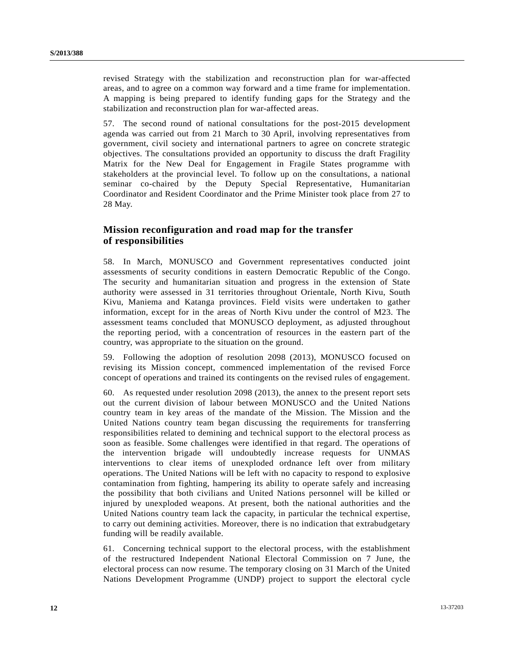revised Strategy with the stabilization and reconstruction plan for war-affected areas, and to agree on a common way forward and a time frame for implementation. A mapping is being prepared to identify funding gaps for the Strategy and the stabilization and reconstruction plan for war-affected areas.

57. The second round of national consultations for the post-2015 development agenda was carried out from 21 March to 30 April, involving representatives from government, civil society and international partners to agree on concrete strategic objectives. The consultations provided an opportunity to discuss the draft Fragility Matrix for the New Deal for Engagement in Fragile States programme with stakeholders at the provincial level. To follow up on the consultations, a national seminar co-chaired by the Deputy Special Representative, Humanitarian Coordinator and Resident Coordinator and the Prime Minister took place from 27 to 28 May.

## **Mission reconfiguration and road map for the transfer of responsibilities**

58. In March, MONUSCO and Government representatives conducted joint assessments of security conditions in eastern Democratic Republic of the Congo. The security and humanitarian situation and progress in the extension of State authority were assessed in 31 territories throughout Orientale, North Kivu, South Kivu, Maniema and Katanga provinces. Field visits were undertaken to gather information, except for in the areas of North Kivu under the control of M23. The assessment teams concluded that MONUSCO deployment, as adjusted throughout the reporting period, with a concentration of resources in the eastern part of the country, was appropriate to the situation on the ground.

59. Following the adoption of resolution 2098 (2013), MONUSCO focused on revising its Mission concept, commenced implementation of the revised Force concept of operations and trained its contingents on the revised rules of engagement.

60. As requested under resolution 2098 (2013), the annex to the present report sets out the current division of labour between MONUSCO and the United Nations country team in key areas of the mandate of the Mission. The Mission and the United Nations country team began discussing the requirements for transferring responsibilities related to demining and technical support to the electoral process as soon as feasible. Some challenges were identified in that regard. The operations of the intervention brigade will undoubtedly increase requests for UNMAS interventions to clear items of unexploded ordnance left over from military operations. The United Nations will be left with no capacity to respond to explosive contamination from fighting, hampering its ability to operate safely and increasing the possibility that both civilians and United Nations personnel will be killed or injured by unexploded weapons. At present, both the national authorities and the United Nations country team lack the capacity, in particular the technical expertise, to carry out demining activities. Moreover, there is no indication that extrabudgetary funding will be readily available.

61. Concerning technical support to the electoral process, with the establishment of the restructured Independent National Electoral Commission on 7 June, the electoral process can now resume. The temporary closing on 31 March of the United Nations Development Programme (UNDP) project to support the electoral cycle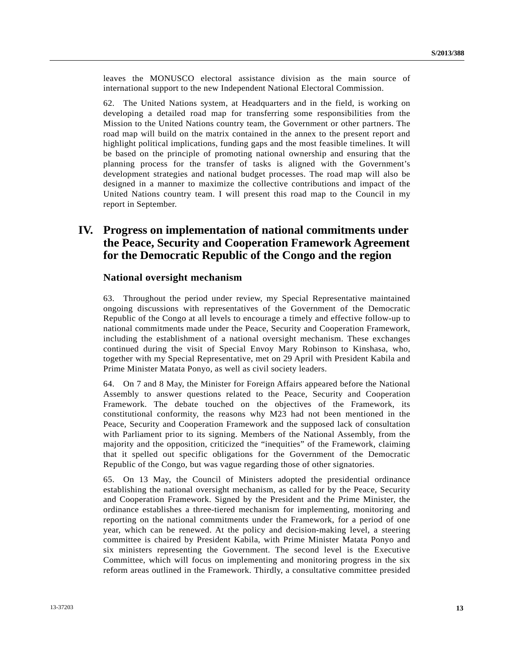leaves the MONUSCO electoral assistance division as the main source of international support to the new Independent National Electoral Commission.

62. The United Nations system, at Headquarters and in the field, is working on developing a detailed road map for transferring some responsibilities from the Mission to the United Nations country team, the Government or other partners. The road map will build on the matrix contained in the annex to the present report and highlight political implications, funding gaps and the most feasible timelines. It will be based on the principle of promoting national ownership and ensuring that the planning process for the transfer of tasks is aligned with the Government's development strategies and national budget processes. The road map will also be designed in a manner to maximize the collective contributions and impact of the United Nations country team. I will present this road map to the Council in my report in September.

# **IV. Progress on implementation of national commitments under the Peace, Security and Cooperation Framework Agreement for the Democratic Republic of the Congo and the region**

#### **National oversight mechanism**

63. Throughout the period under review, my Special Representative maintained ongoing discussions with representatives of the Government of the Democratic Republic of the Congo at all levels to encourage a timely and effective follow-up to national commitments made under the Peace, Security and Cooperation Framework, including the establishment of a national oversight mechanism. These exchanges continued during the visit of Special Envoy Mary Robinson to Kinshasa, who, together with my Special Representative, met on 29 April with President Kabila and Prime Minister Matata Ponyo, as well as civil society leaders.

64. On 7 and 8 May, the Minister for Foreign Affairs appeared before the National Assembly to answer questions related to the Peace, Security and Cooperation Framework. The debate touched on the objectives of the Framework, its constitutional conformity, the reasons why M23 had not been mentioned in the Peace, Security and Cooperation Framework and the supposed lack of consultation with Parliament prior to its signing. Members of the National Assembly, from the majority and the opposition, criticized the "inequities" of the Framework, claiming that it spelled out specific obligations for the Government of the Democratic Republic of the Congo, but was vague regarding those of other signatories.

65. On 13 May, the Council of Ministers adopted the presidential ordinance establishing the national oversight mechanism, as called for by the Peace, Security and Cooperation Framework. Signed by the President and the Prime Minister, the ordinance establishes a three-tiered mechanism for implementing, monitoring and reporting on the national commitments under the Framework, for a period of one year, which can be renewed. At the policy and decision-making level, a steering committee is chaired by President Kabila, with Prime Minister Matata Ponyo and six ministers representing the Government. The second level is the Executive Committee, which will focus on implementing and monitoring progress in the six reform areas outlined in the Framework. Thirdly, a consultative committee presided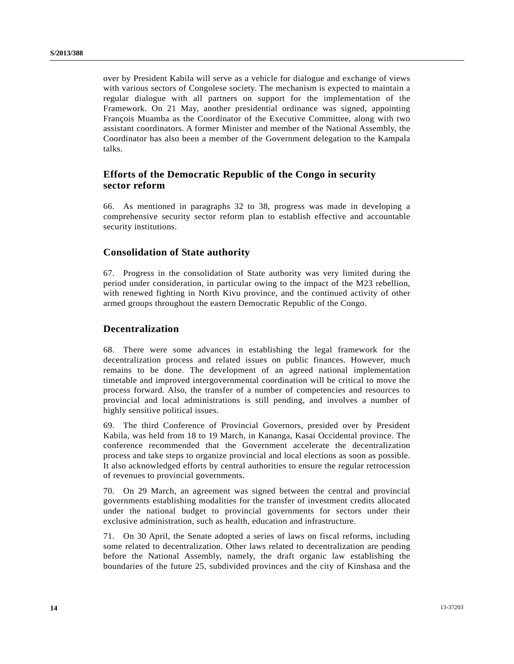over by President Kabila will serve as a vehicle for dialogue and exchange of views with various sectors of Congolese society. The mechanism is expected to maintain a regular dialogue with all partners on support for the implementation of the Framework. On 21 May, another presidential ordinance was signed, appointing François Muamba as the Coordinator of the Executive Committee, along with two assistant coordinators. A former Minister and member of the National Assembly, the Coordinator has also been a member of the Government delegation to the Kampala talks.

# **Efforts of the Democratic Republic of the Congo in security sector reform**

66. As mentioned in paragraphs 32 to 38, progress was made in developing a comprehensive security sector reform plan to establish effective and accountable security institutions.

## **Consolidation of State authority**

67. Progress in the consolidation of State authority was very limited during the period under consideration, in particular owing to the impact of the M23 rebellion, with renewed fighting in North Kivu province, and the continued activity of other armed groups throughout the eastern Democratic Republic of the Congo.

## **Decentralization**

68. There were some advances in establishing the legal framework for the decentralization process and related issues on public finances. However, much remains to be done. The development of an agreed national implementation timetable and improved intergovernmental coordination will be critical to move the process forward. Also, the transfer of a number of competencies and resources to provincial and local administrations is still pending, and involves a number of highly sensitive political issues.

69. The third Conference of Provincial Governors, presided over by President Kabila, was held from 18 to 19 March, in Kananga, Kasai Occidental province. The conference recommended that the Government accelerate the decentralization process and take steps to organize provincial and local elections as soon as possible. It also acknowledged efforts by central authorities to ensure the regular retrocession of revenues to provincial governments.

70. On 29 March, an agreement was signed between the central and provincial governments establishing modalities for the transfer of investment credits allocated under the national budget to provincial governments for sectors under their exclusive administration, such as health, education and infrastructure.

71. On 30 April, the Senate adopted a series of laws on fiscal reforms, including some related to decentralization. Other laws related to decentralization are pending before the National Assembly, namely, the draft organic law establishing the boundaries of the future 25, subdivided provinces and the city of Kinshasa and the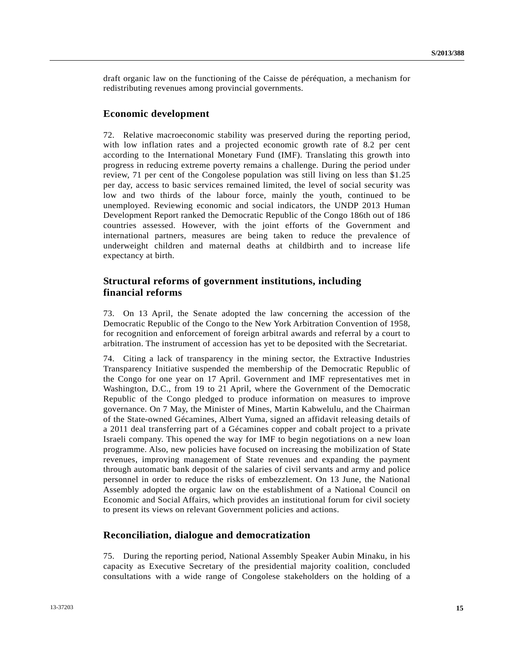draft organic law on the functioning of the Caisse de péréquation, a mechanism for redistributing revenues among provincial governments.

#### **Economic development**

72. Relative macroeconomic stability was preserved during the reporting period, with low inflation rates and a projected economic growth rate of 8.2 per cent according to the International Monetary Fund (IMF). Translating this growth into progress in reducing extreme poverty remains a challenge. During the period under review, 71 per cent of the Congolese population was still living on less than \$1.25 per day, access to basic services remained limited, the level of social security was low and two thirds of the labour force, mainly the youth, continued to be unemployed. Reviewing economic and social indicators, the UNDP 2013 Human Development Report ranked the Democratic Republic of the Congo 186th out of 186 countries assessed. However, with the joint efforts of the Government and international partners, measures are being taken to reduce the prevalence of underweight children and maternal deaths at childbirth and to increase life expectancy at birth.

## **Structural reforms of government institutions, including financial reforms**

73. On 13 April, the Senate adopted the law concerning the accession of the Democratic Republic of the Congo to the New York Arbitration Convention of 1958, for recognition and enforcement of foreign arbitral awards and referral by a court to arbitration. The instrument of accession has yet to be deposited with the Secretariat.

74. Citing a lack of transparency in the mining sector, the Extractive Industries Transparency Initiative suspended the membership of the Democratic Republic of the Congo for one year on 17 April. Government and IMF representatives met in Washington, D.C., from 19 to 21 April, where the Government of the Democratic Republic of the Congo pledged to produce information on measures to improve governance. On 7 May, the Minister of Mines, Martin Kabwelulu, and the Chairman of the State-owned Gécamines, Albert Yuma, signed an affidavit releasing details of a 2011 deal transferring part of a Gécamines copper and cobalt project to a private Israeli company. This opened the way for IMF to begin negotiations on a new loan programme. Also, new policies have focused on increasing the mobilization of State revenues, improving management of State revenues and expanding the payment through automatic bank deposit of the salaries of civil servants and army and police personnel in order to reduce the risks of embezzlement. On 13 June, the National Assembly adopted the organic law on the establishment of a National Council on Economic and Social Affairs, which provides an institutional forum for civil society to present its views on relevant Government policies and actions.

#### **Reconciliation, dialogue and democratization**

75. During the reporting period, National Assembly Speaker Aubin Minaku, in his capacity as Executive Secretary of the presidential majority coalition, concluded consultations with a wide range of Congolese stakeholders on the holding of a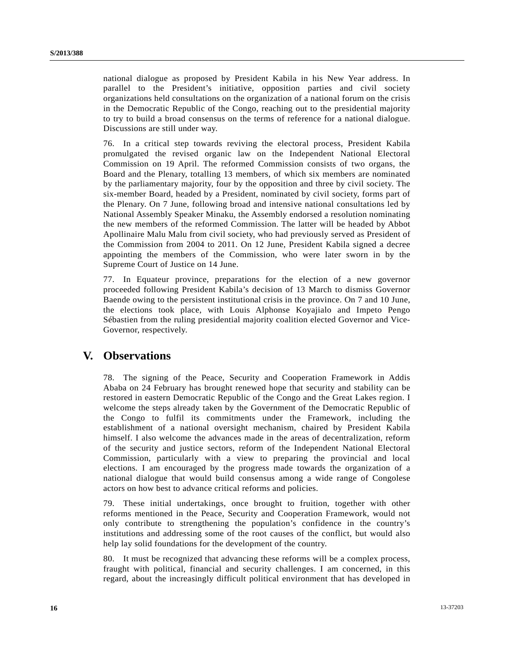national dialogue as proposed by President Kabila in his New Year address. In parallel to the President's initiative, opposition parties and civil society organizations held consultations on the organization of a national forum on the crisis in the Democratic Republic of the Congo, reaching out to the presidential majority to try to build a broad consensus on the terms of reference for a national dialogue. Discussions are still under way.

76. In a critical step towards reviving the electoral process, President Kabila promulgated the revised organic law on the Independent National Electoral Commission on 19 April. The reformed Commission consists of two organs, the Board and the Plenary, totalling 13 members, of which six members are nominated by the parliamentary majority, four by the opposition and three by civil society. The six-member Board, headed by a President, nominated by civil society, forms part of the Plenary. On 7 June, following broad and intensive national consultations led by National Assembly Speaker Minaku, the Assembly endorsed a resolution nominating the new members of the reformed Commission. The latter will be headed by Abbot Apollinaire Malu Malu from civil society, who had previously served as President of the Commission from 2004 to 2011. On 12 June, President Kabila signed a decree appointing the members of the Commission, who were later sworn in by the Supreme Court of Justice on 14 June.

77. In Equateur province, preparations for the election of a new governor proceeded following President Kabila's decision of 13 March to dismiss Governor Baende owing to the persistent institutional crisis in the province. On 7 and 10 June, the elections took place, with Louis Alphonse Koyajialo and Impeto Pengo Sébastien from the ruling presidential majority coalition elected Governor and Vice-Governor, respectively.

# **V. Observations**

78. The signing of the Peace, Security and Cooperation Framework in Addis Ababa on 24 February has brought renewed hope that security and stability can be restored in eastern Democratic Republic of the Congo and the Great Lakes region. I welcome the steps already taken by the Government of the Democratic Republic of the Congo to fulfil its commitments under the Framework, including the establishment of a national oversight mechanism, chaired by President Kabila himself. I also welcome the advances made in the areas of decentralization, reform of the security and justice sectors, reform of the Independent National Electoral Commission, particularly with a view to preparing the provincial and local elections. I am encouraged by the progress made towards the organization of a national dialogue that would build consensus among a wide range of Congolese actors on how best to advance critical reforms and policies.

79. These initial undertakings, once brought to fruition, together with other reforms mentioned in the Peace, Security and Cooperation Framework, would not only contribute to strengthening the population's confidence in the country's institutions and addressing some of the root causes of the conflict, but would also help lay solid foundations for the development of the country.

80. It must be recognized that advancing these reforms will be a complex process, fraught with political, financial and security challenges. I am concerned, in this regard, about the increasingly difficult political environment that has developed in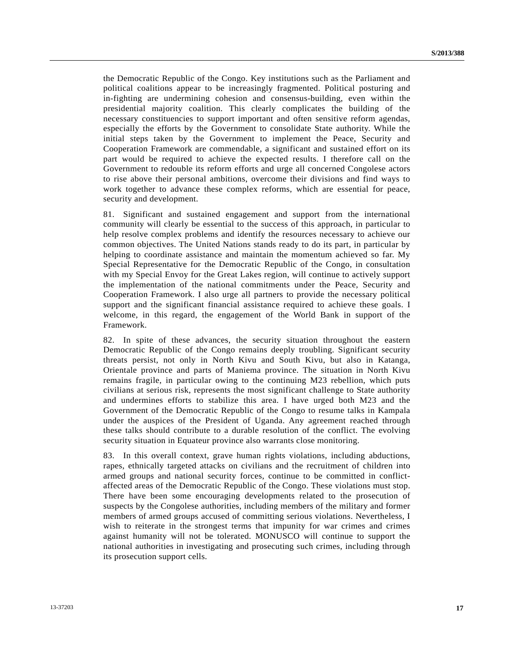the Democratic Republic of the Congo. Key institutions such as the Parliament and political coalitions appear to be increasingly fragmented. Political posturing and in-fighting are undermining cohesion and consensus-building, even within the presidential majority coalition. This clearly complicates the building of the necessary constituencies to support important and often sensitive reform agendas, especially the efforts by the Government to consolidate State authority. While the initial steps taken by the Government to implement the Peace, Security and Cooperation Framework are commendable, a significant and sustained effort on its part would be required to achieve the expected results. I therefore call on the Government to redouble its reform efforts and urge all concerned Congolese actors to rise above their personal ambitions, overcome their divisions and find ways to work together to advance these complex reforms, which are essential for peace, security and development.

81. Significant and sustained engagement and support from the international community will clearly be essential to the success of this approach, in particular to help resolve complex problems and identify the resources necessary to achieve our common objectives. The United Nations stands ready to do its part, in particular by helping to coordinate assistance and maintain the momentum achieved so far. My Special Representative for the Democratic Republic of the Congo, in consultation with my Special Envoy for the Great Lakes region, will continue to actively support the implementation of the national commitments under the Peace, Security and Cooperation Framework. I also urge all partners to provide the necessary political support and the significant financial assistance required to achieve these goals. I welcome, in this regard, the engagement of the World Bank in support of the Framework.

82. In spite of these advances, the security situation throughout the eastern Democratic Republic of the Congo remains deeply troubling. Significant security threats persist, not only in North Kivu and South Kivu, but also in Katanga, Orientale province and parts of Maniema province. The situation in North Kivu remains fragile, in particular owing to the continuing M23 rebellion, which puts civilians at serious risk, represents the most significant challenge to State authority and undermines efforts to stabilize this area. I have urged both M23 and the Government of the Democratic Republic of the Congo to resume talks in Kampala under the auspices of the President of Uganda. Any agreement reached through these talks should contribute to a durable resolution of the conflict. The evolving security situation in Equateur province also warrants close monitoring.

83. In this overall context, grave human rights violations, including abductions, rapes, ethnically targeted attacks on civilians and the recruitment of children into armed groups and national security forces, continue to be committed in conflictaffected areas of the Democratic Republic of the Congo. These violations must stop. There have been some encouraging developments related to the prosecution of suspects by the Congolese authorities, including members of the military and former members of armed groups accused of committing serious violations. Nevertheless, I wish to reiterate in the strongest terms that impunity for war crimes and crimes against humanity will not be tolerated. MONUSCO will continue to support the national authorities in investigating and prosecuting such crimes, including through its prosecution support cells.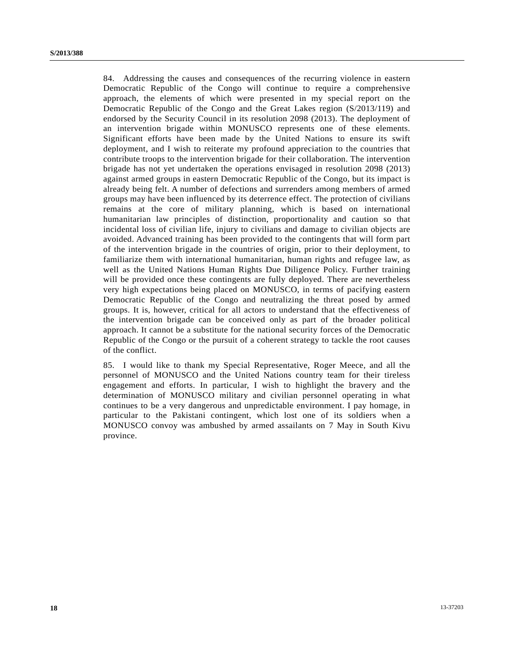84. Addressing the causes and consequences of the recurring violence in eastern Democratic Republic of the Congo will continue to require a comprehensive approach, the elements of which were presented in my special report on the Democratic Republic of the Congo and the Great Lakes region (S/2013/119) and endorsed by the Security Council in its resolution 2098 (2013). The deployment of an intervention brigade within MONUSCO represents one of these elements. Significant efforts have been made by the United Nations to ensure its swift deployment, and I wish to reiterate my profound appreciation to the countries that contribute troops to the intervention brigade for their collaboration. The intervention brigade has not yet undertaken the operations envisaged in resolution 2098 (2013) against armed groups in eastern Democratic Republic of the Congo, but its impact is already being felt. A number of defections and surrenders among members of armed groups may have been influenced by its deterrence effect. The protection of civilians remains at the core of military planning, which is based on international humanitarian law principles of distinction, proportionality and caution so that incidental loss of civilian life, injury to civilians and damage to civilian objects are avoided. Advanced training has been provided to the contingents that will form part of the intervention brigade in the countries of origin, prior to their deployment, to familiarize them with international humanitarian, human rights and refugee law, as well as the United Nations Human Rights Due Diligence Policy. Further training will be provided once these contingents are fully deployed. There are nevertheless very high expectations being placed on MONUSCO, in terms of pacifying eastern Democratic Republic of the Congo and neutralizing the threat posed by armed groups. It is, however, critical for all actors to understand that the effectiveness of the intervention brigade can be conceived only as part of the broader political approach. It cannot be a substitute for the national security forces of the Democratic Republic of the Congo or the pursuit of a coherent strategy to tackle the root causes of the conflict.

85. I would like to thank my Special Representative, Roger Meece, and all the personnel of MONUSCO and the United Nations country team for their tireless engagement and efforts. In particular, I wish to highlight the bravery and the determination of MONUSCO military and civilian personnel operating in what continues to be a very dangerous and unpredictable environment. I pay homage, in particular to the Pakistani contingent, which lost one of its soldiers when a MONUSCO convoy was ambushed by armed assailants on 7 May in South Kivu province.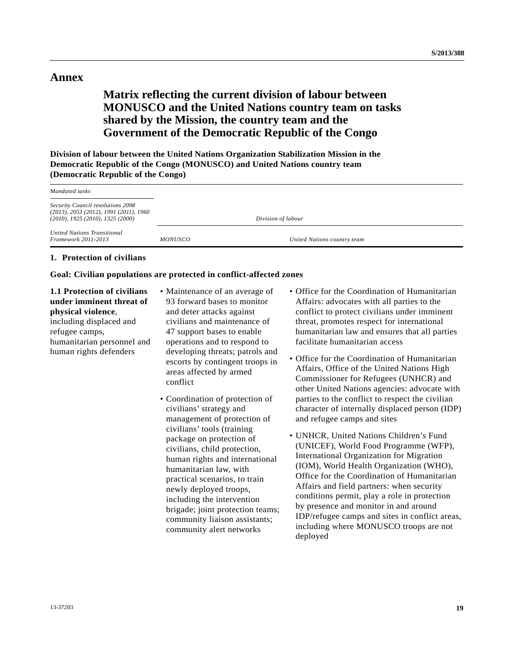## **Annex**

# **Matrix reflecting the current division of labour between MONUSCO and the United Nations country team on tasks shared by the Mission, the country team and the Government of the Democratic Republic of the Congo**

**Division of labour between the United Nations Organization Stabilization Mission in the Democratic Republic of the Congo (MONUSCO) and United Nations country team (Democratic Republic of the Congo)** 

| Mandated tasks                                                                                                                    |                |                             |
|-----------------------------------------------------------------------------------------------------------------------------------|----------------|-----------------------------|
| <b>Security Council resolutions 2098</b><br>$(2013)$ , 2053 (2012), 1991 (2011), 1960<br>$(2010)$ , 1925 $(2010)$ , 1325 $(2000)$ |                | Division of labour          |
| United Nations Transitional<br><b>Framework 2011-2013</b>                                                                         | <i>MONUSCO</i> | United Nations country team |

#### **1. Protection of civilians**

#### **Goal: Civilian populations are protected in conflict-affected zones**

**1.1 Protection of civilians under imminent threat of physical violence**, including displaced and refugee camps,

humanitarian personnel and human rights defenders

- Maintenance of an average of 93 forward bases to monitor and deter attacks against civilians and maintenance of 47 support bases to enable operations and to respond to developing threats; patrols and escorts by contingent troops in areas affected by armed conflict
- Coordination of protection of civilians' strategy and management of protection of civilians' tools (training package on protection of civilians, child protection, human rights and international humanitarian law, with practical scenarios, to train newly deployed troops, including the intervention brigade; joint protection teams; community liaison assistants; community alert networks
- Office for the Coordination of Humanitarian Affairs: advocates with all parties to the conflict to protect civilians under imminent threat, promotes respect for international humanitarian law and ensures that all parties facilitate humanitarian access
- Office for the Coordination of Humanitarian Affairs, Office of the United Nations High Commissioner for Refugees (UNHCR) and other United Nations agencies: advocate with parties to the conflict to respect the civilian character of internally displaced person (IDP) and refugee camps and sites
- UNHCR, United Nations Children's Fund (UNICEF), World Food Programme (WFP), International Organization for Migration (IOM), World Health Organization (WHO), Office for the Coordination of Humanitarian Affairs and field partners: when security conditions permit, play a role in protection by presence and monitor in and around IDP/refugee camps and sites in conflict areas, including where MONUSCO troops are not deployed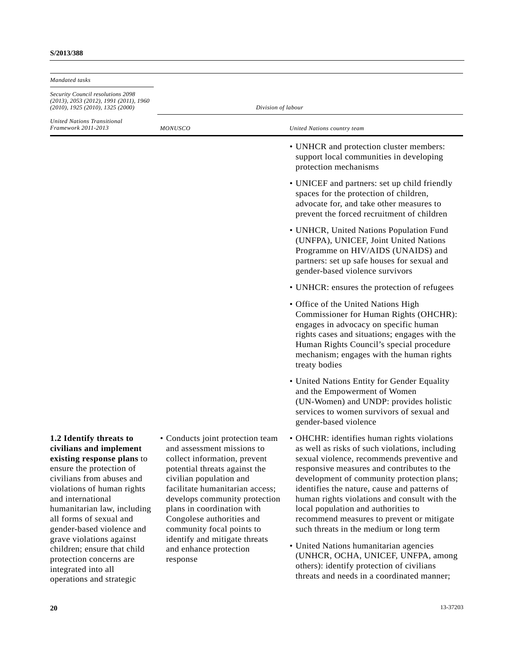| Mandated tasks                                                                                                                                                                                                                                                                                                                                                                                                               |                                                                                                                                                                                                                                                                                                                                                                                               |                                                                                                                                                                                                                                                                                                                                                                                                                                                                                                                                                                                                                                                   |
|------------------------------------------------------------------------------------------------------------------------------------------------------------------------------------------------------------------------------------------------------------------------------------------------------------------------------------------------------------------------------------------------------------------------------|-----------------------------------------------------------------------------------------------------------------------------------------------------------------------------------------------------------------------------------------------------------------------------------------------------------------------------------------------------------------------------------------------|---------------------------------------------------------------------------------------------------------------------------------------------------------------------------------------------------------------------------------------------------------------------------------------------------------------------------------------------------------------------------------------------------------------------------------------------------------------------------------------------------------------------------------------------------------------------------------------------------------------------------------------------------|
| Security Council resolutions 2098<br>$(2013)$ , 2053 (2012), 1991 (2011), 1960<br>$(2010)$ , 1925 $(2010)$ , 1325 $(2000)$                                                                                                                                                                                                                                                                                                   | Division of labour                                                                                                                                                                                                                                                                                                                                                                            |                                                                                                                                                                                                                                                                                                                                                                                                                                                                                                                                                                                                                                                   |
| <b>United Nations Transitional</b><br>Framework 2011-2013                                                                                                                                                                                                                                                                                                                                                                    | <b>MONUSCO</b>                                                                                                                                                                                                                                                                                                                                                                                | United Nations country team                                                                                                                                                                                                                                                                                                                                                                                                                                                                                                                                                                                                                       |
|                                                                                                                                                                                                                                                                                                                                                                                                                              |                                                                                                                                                                                                                                                                                                                                                                                               | • UNHCR and protection cluster members:<br>support local communities in developing<br>protection mechanisms                                                                                                                                                                                                                                                                                                                                                                                                                                                                                                                                       |
|                                                                                                                                                                                                                                                                                                                                                                                                                              |                                                                                                                                                                                                                                                                                                                                                                                               | • UNICEF and partners: set up child friendly<br>spaces for the protection of children,<br>advocate for, and take other measures to<br>prevent the forced recruitment of children                                                                                                                                                                                                                                                                                                                                                                                                                                                                  |
|                                                                                                                                                                                                                                                                                                                                                                                                                              |                                                                                                                                                                                                                                                                                                                                                                                               | • UNHCR, United Nations Population Fund<br>(UNFPA), UNICEF, Joint United Nations<br>Programme on HIV/AIDS (UNAIDS) and<br>partners: set up safe houses for sexual and<br>gender-based violence survivors                                                                                                                                                                                                                                                                                                                                                                                                                                          |
|                                                                                                                                                                                                                                                                                                                                                                                                                              |                                                                                                                                                                                                                                                                                                                                                                                               | • UNHCR: ensures the protection of refugees                                                                                                                                                                                                                                                                                                                                                                                                                                                                                                                                                                                                       |
|                                                                                                                                                                                                                                                                                                                                                                                                                              |                                                                                                                                                                                                                                                                                                                                                                                               | • Office of the United Nations High<br>Commissioner for Human Rights (OHCHR):<br>engages in advocacy on specific human<br>rights cases and situations; engages with the<br>Human Rights Council's special procedure<br>mechanism; engages with the human rights<br>treaty bodies                                                                                                                                                                                                                                                                                                                                                                  |
|                                                                                                                                                                                                                                                                                                                                                                                                                              |                                                                                                                                                                                                                                                                                                                                                                                               | • United Nations Entity for Gender Equality<br>and the Empowerment of Women<br>(UN-Women) and UNDP: provides holistic<br>services to women survivors of sexual and<br>gender-based violence                                                                                                                                                                                                                                                                                                                                                                                                                                                       |
| 1.2 Identify threats to<br>civilians and implement<br>existing response plans to<br>ensure the protection of<br>civilians from abuses and<br>violations of human rights<br>and international<br>humanitarian law, including<br>all forms of sexual and<br>gender-based violence and<br>grave violations against<br>children; ensure that child<br>protection concerns are<br>integrated into all<br>operations and strategic | • Conducts joint protection team<br>and assessment missions to<br>collect information, prevent<br>potential threats against the<br>civilian population and<br>facilitate humanitarian access;<br>develops community protection<br>plans in coordination with<br>Congolese authorities and<br>community focal points to<br>identify and mitigate threats<br>and enhance protection<br>response | • OHCHR: identifies human rights violations<br>as well as risks of such violations, including<br>sexual violence, recommends preventive and<br>responsive measures and contributes to the<br>development of community protection plans;<br>identifies the nature, cause and patterns of<br>human rights violations and consult with the<br>local population and authorities to<br>recommend measures to prevent or mitigate<br>such threats in the medium or long term<br>• United Nations humanitarian agencies<br>(UNHCR, OCHA, UNICEF, UNFPA, among<br>others): identify protection of civilians<br>threats and needs in a coordinated manner; |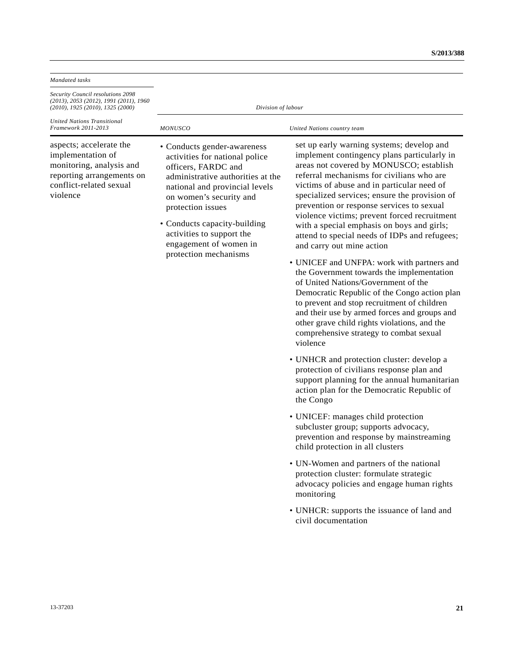| Security Council resolutions 2098                                                                                                                                                                                                                                                                                                                                                                                                                                           |                                                                                                                                                                                                                                                                                                                                                                                                                                                                                                                                                                                                                                                                                                                                                                                                                                                                                                                                                                                                                                                                                                                                                                                                                                                                                                                                                                                                                                                                                           |  |
|-----------------------------------------------------------------------------------------------------------------------------------------------------------------------------------------------------------------------------------------------------------------------------------------------------------------------------------------------------------------------------------------------------------------------------------------------------------------------------|-------------------------------------------------------------------------------------------------------------------------------------------------------------------------------------------------------------------------------------------------------------------------------------------------------------------------------------------------------------------------------------------------------------------------------------------------------------------------------------------------------------------------------------------------------------------------------------------------------------------------------------------------------------------------------------------------------------------------------------------------------------------------------------------------------------------------------------------------------------------------------------------------------------------------------------------------------------------------------------------------------------------------------------------------------------------------------------------------------------------------------------------------------------------------------------------------------------------------------------------------------------------------------------------------------------------------------------------------------------------------------------------------------------------------------------------------------------------------------------------|--|
| $(2013)$ , 2053 (2012), 1991 (2011), 1960<br>Division of labour<br>$(2010)$ , 1925 $(2010)$ , 1325 $(2000)$                                                                                                                                                                                                                                                                                                                                                                 |                                                                                                                                                                                                                                                                                                                                                                                                                                                                                                                                                                                                                                                                                                                                                                                                                                                                                                                                                                                                                                                                                                                                                                                                                                                                                                                                                                                                                                                                                           |  |
| <b>United Nations Transitional</b><br>Framework 2011-2013<br><b>MONUSCO</b>                                                                                                                                                                                                                                                                                                                                                                                                 | United Nations country team                                                                                                                                                                                                                                                                                                                                                                                                                                                                                                                                                                                                                                                                                                                                                                                                                                                                                                                                                                                                                                                                                                                                                                                                                                                                                                                                                                                                                                                               |  |
| aspects; accelerate the<br>• Conducts gender-awareness<br>implementation of<br>activities for national police<br>monitoring, analysis and<br>officers, FARDC and<br>reporting arrangements on<br>administrative authorities at the<br>conflict-related sexual<br>national and provincial levels<br>violence<br>on women's security and<br>protection issues<br>• Conducts capacity-building<br>activities to support the<br>engagement of women in<br>protection mechanisms | set up early warning systems; develop and<br>implement contingency plans particularly in<br>areas not covered by MONUSCO; establish<br>referral mechanisms for civilians who are<br>victims of abuse and in particular need of<br>specialized services; ensure the provision of<br>prevention or response services to sexual<br>violence victims; prevent forced recruitment<br>with a special emphasis on boys and girls;<br>attend to special needs of IDPs and refugees;<br>and carry out mine action<br>• UNICEF and UNFPA: work with partners and<br>the Government towards the implementation<br>of United Nations/Government of the<br>Democratic Republic of the Congo action plan<br>to prevent and stop recruitment of children<br>and their use by armed forces and groups and<br>other grave child rights violations, and the<br>comprehensive strategy to combat sexual<br>violence<br>• UNHCR and protection cluster: develop a<br>protection of civilians response plan and<br>support planning for the annual humanitarian<br>action plan for the Democratic Republic of<br>the Congo<br>• UNICEF: manages child protection<br>subcluster group; supports advocacy,<br>prevention and response by mainstreaming<br>child protection in all clusters<br>• UN-Women and partners of the national<br>protection cluster: formulate strategic<br>advocacy policies and engage human rights<br>monitoring<br>• UNHCR: supports the issuance of land and<br>civil documentation |  |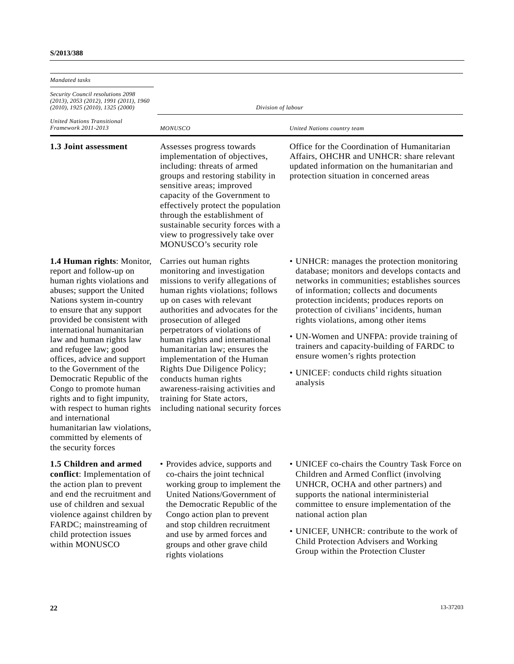| Mandated tasks                                                                                                                                                                                                                                                                                                                                                                                                                                                                                                                                                                              |                                                                                                                                                                                                                                                                                                                                                                                                                                                                                                                                   |                                                                                                                                                                                                                                                                                                                                                                                                                                                                                                                |
|---------------------------------------------------------------------------------------------------------------------------------------------------------------------------------------------------------------------------------------------------------------------------------------------------------------------------------------------------------------------------------------------------------------------------------------------------------------------------------------------------------------------------------------------------------------------------------------------|-----------------------------------------------------------------------------------------------------------------------------------------------------------------------------------------------------------------------------------------------------------------------------------------------------------------------------------------------------------------------------------------------------------------------------------------------------------------------------------------------------------------------------------|----------------------------------------------------------------------------------------------------------------------------------------------------------------------------------------------------------------------------------------------------------------------------------------------------------------------------------------------------------------------------------------------------------------------------------------------------------------------------------------------------------------|
| <i>Security Council resolutions 2098</i><br>(2013), 2053 (2012), 1991 (2011), 1960<br>(2010), 1925 (2010), 1325 (2000)                                                                                                                                                                                                                                                                                                                                                                                                                                                                      | Division of labour                                                                                                                                                                                                                                                                                                                                                                                                                                                                                                                |                                                                                                                                                                                                                                                                                                                                                                                                                                                                                                                |
| <b>United Nations Transitional</b><br>Framework 2011-2013                                                                                                                                                                                                                                                                                                                                                                                                                                                                                                                                   | <b>MONUSCO</b>                                                                                                                                                                                                                                                                                                                                                                                                                                                                                                                    | United Nations country team                                                                                                                                                                                                                                                                                                                                                                                                                                                                                    |
| 1.3 Joint assessment                                                                                                                                                                                                                                                                                                                                                                                                                                                                                                                                                                        | Assesses progress towards<br>implementation of objectives,<br>including: threats of armed<br>groups and restoring stability in<br>sensitive areas; improved<br>capacity of the Government to<br>effectively protect the population<br>through the establishment of<br>sustainable security forces with a<br>view to progressively take over<br>MONUSCO's security role                                                                                                                                                            | Office for the Coordination of Humanitarian<br>Affairs, OHCHR and UNHCR: share relevant<br>updated information on the humanitarian and<br>protection situation in concerned areas                                                                                                                                                                                                                                                                                                                              |
| 1.4 Human rights: Monitor,<br>report and follow-up on<br>human rights violations and<br>abuses; support the United<br>Nations system in-country<br>to ensure that any support<br>provided be consistent with<br>international humanitarian<br>law and human rights law<br>and refugee law; good<br>offices, advice and support<br>to the Government of the<br>Democratic Republic of the<br>Congo to promote human<br>rights and to fight impunity,<br>with respect to human rights<br>and international<br>humanitarian law violations,<br>committed by elements of<br>the security forces | Carries out human rights<br>monitoring and investigation<br>missions to verify allegations of<br>human rights violations; follows<br>up on cases with relevant<br>authorities and advocates for the<br>prosecution of alleged<br>perpetrators of violations of<br>human rights and international<br>humanitarian law; ensures the<br>implementation of the Human<br>Rights Due Diligence Policy;<br>conducts human rights<br>awareness-raising activities and<br>training for State actors,<br>including national security forces | • UNHCR: manages the protection monitoring<br>database; monitors and develops contacts and<br>networks in communities; establishes sources<br>of information; collects and documents<br>protection incidents; produces reports on<br>protection of civilians' incidents, human<br>rights violations, among other items<br>• UN-Women and UNFPA: provide training of<br>trainers and capacity-building of FARDC to<br>ensure women's rights protection<br>• UNICEF: conducts child rights situation<br>analysis |
| 1.5 Children and armed<br>conflict: Implementation of<br>the action plan to prevent<br>and end the recruitment and<br>use of children and sexual<br>violence against children by<br>FARDC; mainstreaming of<br>child protection issues<br>within MONUSCO                                                                                                                                                                                                                                                                                                                                    | • Provides advice, supports and<br>co-chairs the joint technical<br>working group to implement the<br>United Nations/Government of<br>the Democratic Republic of the<br>Congo action plan to prevent<br>and stop children recruitment<br>and use by armed forces and<br>groups and other grave child<br>rights violations                                                                                                                                                                                                         | • UNICEF co-chairs the Country Task Force on<br>Children and Armed Conflict (involving<br>UNHCR, OCHA and other partners) and<br>supports the national interministerial<br>committee to ensure implementation of the<br>national action plan<br>• UNICEF, UNHCR: contribute to the work of<br>Child Protection Advisers and Working<br>Group within the Protection Cluster                                                                                                                                     |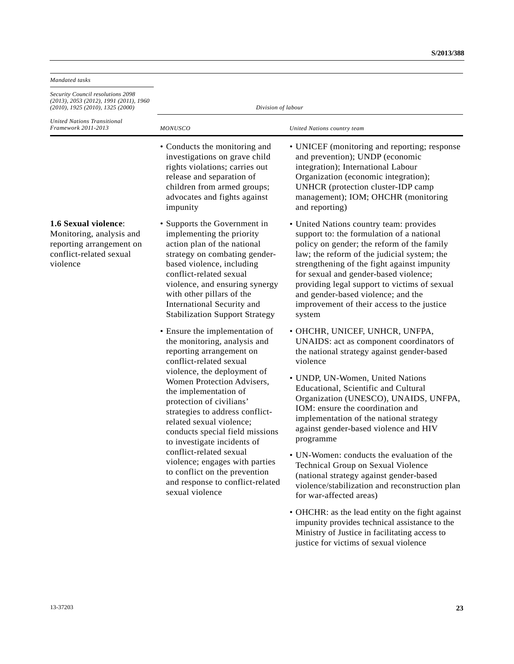| Mandated tasks                                                                                                                                                                          |                                                                                                                                                                                                                                                                                                                                                                                                                                                                                                                               |                                                                                                                                                                                                                                                                                                                                                                                                                         |  |
|-----------------------------------------------------------------------------------------------------------------------------------------------------------------------------------------|-------------------------------------------------------------------------------------------------------------------------------------------------------------------------------------------------------------------------------------------------------------------------------------------------------------------------------------------------------------------------------------------------------------------------------------------------------------------------------------------------------------------------------|-------------------------------------------------------------------------------------------------------------------------------------------------------------------------------------------------------------------------------------------------------------------------------------------------------------------------------------------------------------------------------------------------------------------------|--|
| Security Council resolutions 2098<br>$(2013)$ , 2053 (2012), 1991 (2011), 1960<br>$(2010)$ , 1925 $(2010)$ , 1325 $(2000)$<br><b>United Nations Transitional</b><br>Framework 2011-2013 | Division of labour                                                                                                                                                                                                                                                                                                                                                                                                                                                                                                            |                                                                                                                                                                                                                                                                                                                                                                                                                         |  |
|                                                                                                                                                                                         | <b>MONUSCO</b>                                                                                                                                                                                                                                                                                                                                                                                                                                                                                                                | United Nations country team                                                                                                                                                                                                                                                                                                                                                                                             |  |
|                                                                                                                                                                                         | • Conducts the monitoring and<br>investigations on grave child<br>rights violations; carries out<br>release and separation of<br>children from armed groups;<br>advocates and fights against<br>impunity                                                                                                                                                                                                                                                                                                                      | • UNICEF (monitoring and reporting; response<br>and prevention); UNDP (economic<br>integration); International Labour<br>Organization (economic integration);<br>UNHCR (protection cluster-IDP camp<br>management); IOM; OHCHR (monitoring<br>and reporting)                                                                                                                                                            |  |
| 1.6 Sexual violence:<br>Monitoring, analysis and<br>reporting arrangement on<br>conflict-related sexual<br>violence                                                                     | • Supports the Government in<br>implementing the priority<br>action plan of the national<br>strategy on combating gender-<br>based violence, including<br>conflict-related sexual<br>violence, and ensuring synergy<br>with other pillars of the<br>International Security and<br><b>Stabilization Support Strategy</b>                                                                                                                                                                                                       | • United Nations country team: provides<br>support to: the formulation of a national<br>policy on gender; the reform of the family<br>law; the reform of the judicial system; the<br>strengthening of the fight against impunity<br>for sexual and gender-based violence;<br>providing legal support to victims of sexual<br>and gender-based violence; and the<br>improvement of their access to the justice<br>system |  |
|                                                                                                                                                                                         | • Ensure the implementation of<br>the monitoring, analysis and<br>reporting arrangement on<br>conflict-related sexual<br>violence, the deployment of<br>Women Protection Advisers,<br>the implementation of<br>protection of civilians'<br>strategies to address conflict-<br>related sexual violence;<br>conducts special field missions<br>to investigate incidents of<br>conflict-related sexual<br>violence; engages with parties<br>to conflict on the prevention<br>and response to conflict-related<br>sexual violence | • OHCHR, UNICEF, UNHCR, UNFPA,<br>UNAIDS: act as component coordinators of<br>the national strategy against gender-based<br>violence                                                                                                                                                                                                                                                                                    |  |
|                                                                                                                                                                                         |                                                                                                                                                                                                                                                                                                                                                                                                                                                                                                                               | • UNDP, UN-Women, United Nations<br>Educational, Scientific and Cultural<br>Organization (UNESCO), UNAIDS, UNFPA,<br>IOM: ensure the coordination and<br>implementation of the national strategy<br>against gender-based violence and HIV<br>programme                                                                                                                                                                  |  |
|                                                                                                                                                                                         |                                                                                                                                                                                                                                                                                                                                                                                                                                                                                                                               | • UN-Women: conducts the evaluation of the<br>Technical Group on Sexual Violence<br>(national strategy against gender-based<br>violence/stabilization and reconstruction plan<br>for war-affected areas)                                                                                                                                                                                                                |  |
|                                                                                                                                                                                         |                                                                                                                                                                                                                                                                                                                                                                                                                                                                                                                               | • OHCHR: as the lead entity on the fight against<br>impunity provides technical assistance to the<br>Ministry of Justice in facilitating access to<br>justice for victims of sexual violence                                                                                                                                                                                                                            |  |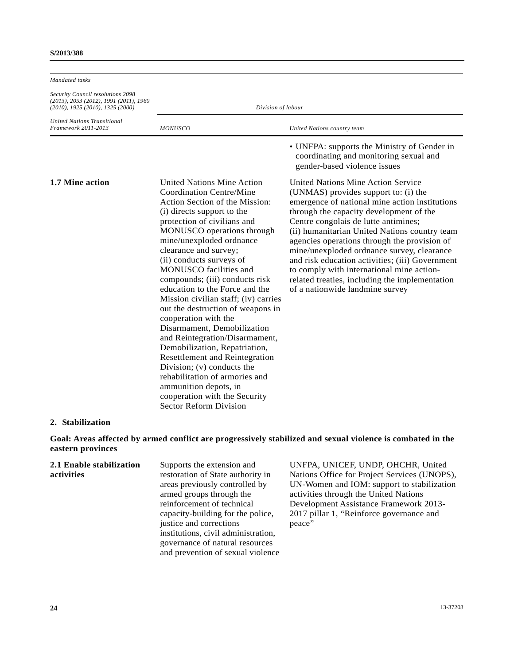| Mandated tasks                                                                                                          |                                                                                                                                                                                                                                                                                                                                                                                                                                                                                                                                                                                                                                                                                                                                                                                      |                                                                                                                                                                                                                                                                                                                                                                                                                                                                                                                                                     |
|-------------------------------------------------------------------------------------------------------------------------|--------------------------------------------------------------------------------------------------------------------------------------------------------------------------------------------------------------------------------------------------------------------------------------------------------------------------------------------------------------------------------------------------------------------------------------------------------------------------------------------------------------------------------------------------------------------------------------------------------------------------------------------------------------------------------------------------------------------------------------------------------------------------------------|-----------------------------------------------------------------------------------------------------------------------------------------------------------------------------------------------------------------------------------------------------------------------------------------------------------------------------------------------------------------------------------------------------------------------------------------------------------------------------------------------------------------------------------------------------|
| Security Council resolutions 2098<br>(2013), 2053 (2012), 1991 (2011), 1960<br>$(2010)$ , 1925 $(2010)$ , 1325 $(2000)$ | Division of labour                                                                                                                                                                                                                                                                                                                                                                                                                                                                                                                                                                                                                                                                                                                                                                   |                                                                                                                                                                                                                                                                                                                                                                                                                                                                                                                                                     |
| <b>United Nations Transitional</b><br>Framework 2011-2013                                                               | <b>MONUSCO</b>                                                                                                                                                                                                                                                                                                                                                                                                                                                                                                                                                                                                                                                                                                                                                                       | United Nations country team                                                                                                                                                                                                                                                                                                                                                                                                                                                                                                                         |
|                                                                                                                         |                                                                                                                                                                                                                                                                                                                                                                                                                                                                                                                                                                                                                                                                                                                                                                                      | • UNFPA: supports the Ministry of Gender in<br>coordinating and monitoring sexual and<br>gender-based violence issues                                                                                                                                                                                                                                                                                                                                                                                                                               |
| 1.7 Mine action                                                                                                         | <b>United Nations Mine Action</b><br>Coordination Centre/Mine<br>Action Section of the Mission:<br>(i) directs support to the<br>protection of civilians and<br>MONUSCO operations through<br>mine/unexploded ordnance<br>clearance and survey;<br>(ii) conducts surveys of<br>MONUSCO facilities and<br>compounds; (iii) conducts risk<br>education to the Force and the<br>Mission civilian staff; (iv) carries<br>out the destruction of weapons in<br>cooperation with the<br>Disarmament, Demobilization<br>and Reintegration/Disarmament,<br>Demobilization, Repatriation,<br><b>Resettlement and Reintegration</b><br>Division; (v) conducts the<br>rehabilitation of armories and<br>ammunition depots, in<br>cooperation with the Security<br><b>Sector Reform Division</b> | United Nations Mine Action Service<br>(UNMAS) provides support to: (i) the<br>emergence of national mine action institutions<br>through the capacity development of the<br>Centre congolais de lutte antimines;<br>(ii) humanitarian United Nations country team<br>agencies operations through the provision of<br>mine/unexploded ordnance survey, clearance<br>and risk education activities; (iii) Government<br>to comply with international mine action-<br>related treaties, including the implementation<br>of a nationwide landmine survey |

#### **2. Stabilization**

**Goal: Areas affected by armed conflict are progressively stabilized and sexual violence is combated in the eastern provinces**

| 2.1 Enable stabilization | Supports the extension and          |
|--------------------------|-------------------------------------|
| activities               | restoration of State authority in   |
|                          | areas previously controlled by      |
|                          | armed groups through the            |
|                          | reinforcement of technical          |
|                          | capacity-building for the police,   |
|                          | justice and corrections             |
|                          | institutions, civil administration, |
|                          | governance of natural resources     |
|                          | and prevention of sexual violence   |
|                          |                                     |

UNFPA, UNICEF, UNDP, OHCHR, United Nations Office for Project Services (UNOPS), UN-Women and IOM: support to stabilization activities through the United Nations Development Assistance Framework 2013- 2017 pillar 1, "Reinforce governance and peace"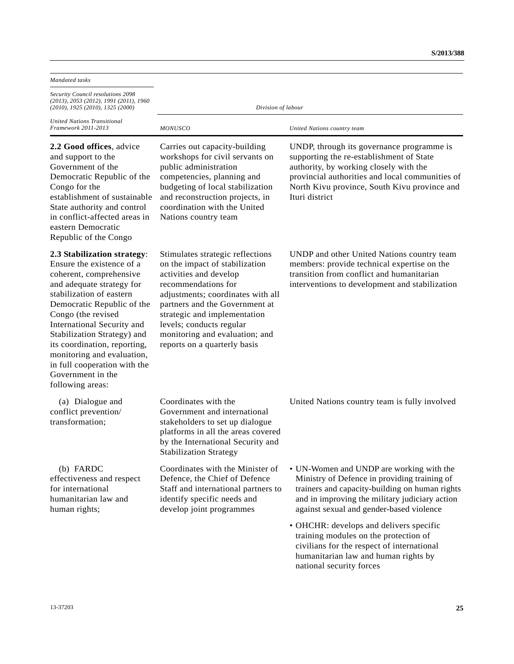| Mandated tasks                                                                                                                                                                                                                                                                                                                                                                                       |                                                                                                                                                                                                                                                                                                                          |                                                                                                                                                                                                                                                      |  |
|------------------------------------------------------------------------------------------------------------------------------------------------------------------------------------------------------------------------------------------------------------------------------------------------------------------------------------------------------------------------------------------------------|--------------------------------------------------------------------------------------------------------------------------------------------------------------------------------------------------------------------------------------------------------------------------------------------------------------------------|------------------------------------------------------------------------------------------------------------------------------------------------------------------------------------------------------------------------------------------------------|--|
| Security Council resolutions 2098<br>(2013), 2053 (2012), 1991 (2011), 1960<br>(2010), 1925 (2010), 1325 (2000)                                                                                                                                                                                                                                                                                      | Division of labour                                                                                                                                                                                                                                                                                                       |                                                                                                                                                                                                                                                      |  |
| <b>United Nations Transitional</b><br>Framework 2011-2013                                                                                                                                                                                                                                                                                                                                            | <b>MONUSCO</b>                                                                                                                                                                                                                                                                                                           | United Nations country team                                                                                                                                                                                                                          |  |
| 2.2 Good offices, advice<br>and support to the<br>Government of the<br>Democratic Republic of the<br>Congo for the<br>establishment of sustainable<br>State authority and control<br>in conflict-affected areas in<br>eastern Democratic<br>Republic of the Congo                                                                                                                                    | Carries out capacity-building<br>workshops for civil servants on<br>public administration<br>competencies, planning and<br>budgeting of local stabilization<br>and reconstruction projects, in<br>coordination with the United<br>Nations country team                                                                   | UNDP, through its governance programme is<br>supporting the re-establishment of State<br>authority, by working closely with the<br>provincial authorities and local communities of<br>North Kivu province, South Kivu province and<br>Ituri district |  |
| 2.3 Stabilization strategy:<br>Ensure the existence of a<br>coherent, comprehensive<br>and adequate strategy for<br>stabilization of eastern<br>Democratic Republic of the<br>Congo (the revised<br>International Security and<br>Stabilization Strategy) and<br>its coordination, reporting,<br>monitoring and evaluation,<br>in full cooperation with the<br>Government in the<br>following areas: | Stimulates strategic reflections<br>on the impact of stabilization<br>activities and develop<br>recommendations for<br>adjustments; coordinates with all<br>partners and the Government at<br>strategic and implementation<br>levels; conducts regular<br>monitoring and evaluation; and<br>reports on a quarterly basis | UNDP and other United Nations country team<br>members: provide technical expertise on the<br>transition from conflict and humanitarian<br>interventions to development and stabilization                                                             |  |
| (a) Dialogue and<br>conflict prevention/<br>transformation;                                                                                                                                                                                                                                                                                                                                          | Coordinates with the<br>Government and international<br>stakeholders to set up dialogue<br>platforms in all the areas covered<br>by the International Security and<br><b>Stabilization Strategy</b>                                                                                                                      | United Nations country team is fully involved                                                                                                                                                                                                        |  |
| (b) FARDC<br>effectiveness and respect<br>for international<br>humanitarian law and<br>human rights;                                                                                                                                                                                                                                                                                                 | Coordinates with the Minister of<br>Defence, the Chief of Defence<br>Staff and international partners to<br>identify specific needs and<br>develop joint programmes                                                                                                                                                      | • UN-Women and UNDP are working with the<br>Ministry of Defence in providing training of<br>trainers and capacity-building on human rights<br>and in improving the military judiciary action<br>against sexual and gender-based violence             |  |
|                                                                                                                                                                                                                                                                                                                                                                                                      |                                                                                                                                                                                                                                                                                                                          | • OHCHR: develops and delivers specific<br>training modules on the protection of<br>civilians for the respect of international<br>humanitarian law and human rights by<br>national security forces                                                   |  |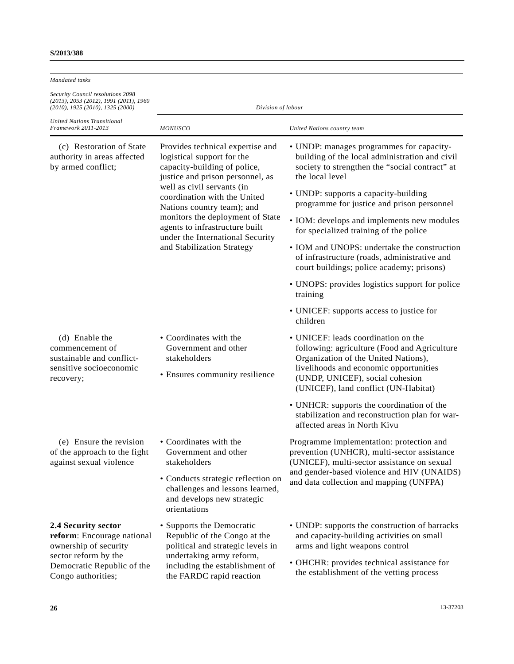#### **S/2013/388**

| Mandated tasks                                                                                                                                         |                                                                                                                                                                                                                                                                                                                                                                        |                                                                                                                                                                                                                                                                                                                                                                                                                                                                                                                                                                                                     |  |
|--------------------------------------------------------------------------------------------------------------------------------------------------------|------------------------------------------------------------------------------------------------------------------------------------------------------------------------------------------------------------------------------------------------------------------------------------------------------------------------------------------------------------------------|-----------------------------------------------------------------------------------------------------------------------------------------------------------------------------------------------------------------------------------------------------------------------------------------------------------------------------------------------------------------------------------------------------------------------------------------------------------------------------------------------------------------------------------------------------------------------------------------------------|--|
| Security Council resolutions 2098<br>(2013), 2053 (2012), 1991 (2011), 1960<br>(2010), 1925 (2010), 1325 (2000)                                        | Division of labour                                                                                                                                                                                                                                                                                                                                                     |                                                                                                                                                                                                                                                                                                                                                                                                                                                                                                                                                                                                     |  |
| United Nations Transitional<br>Framework 2011-2013                                                                                                     | <b>MONUSCO</b>                                                                                                                                                                                                                                                                                                                                                         | United Nations country team                                                                                                                                                                                                                                                                                                                                                                                                                                                                                                                                                                         |  |
| (c) Restoration of State<br>authority in areas affected<br>by armed conflict;                                                                          | Provides technical expertise and<br>logistical support for the<br>capacity-building of police,<br>justice and prison personnel, as<br>well as civil servants (in<br>coordination with the United<br>Nations country team); and<br>monitors the deployment of State<br>agents to infrastructure built<br>under the International Security<br>and Stabilization Strategy | • UNDP: manages programmes for capacity-<br>building of the local administration and civil<br>society to strengthen the "social contract" at<br>the local level<br>• UNDP: supports a capacity-building<br>programme for justice and prison personnel<br>• IOM: develops and implements new modules<br>for specialized training of the police<br>• IOM and UNOPS: undertake the construction<br>of infrastructure (roads, administrative and<br>court buildings; police academy; prisons)<br>• UNOPS: provides logistics support for police<br>training<br>• UNICEF: supports access to justice for |  |
| (d) Enable the<br>commencement of<br>sustainable and conflict-<br>sensitive socioeconomic<br>recovery;                                                 | • Coordinates with the<br>Government and other<br>stakeholders<br>• Ensures community resilience                                                                                                                                                                                                                                                                       | children<br>• UNICEF: leads coordination on the<br>following: agriculture (Food and Agriculture<br>Organization of the United Nations),<br>livelihoods and economic opportunities<br>(UNDP, UNICEF), social cohesion<br>(UNICEF), land conflict (UN-Habitat)<br>• UNHCR: supports the coordination of the<br>stabilization and reconstruction plan for war-<br>affected areas in North Kivu                                                                                                                                                                                                         |  |
| (e) Ensure the revision<br>of the approach to the fight<br>against sexual violence                                                                     | • Coordinates with the<br>Government and other<br>stakeholders<br>• Conducts strategic reflection on<br>challenges and lessons learned,<br>and develops new strategic<br>orientations                                                                                                                                                                                  | Programme implementation: protection and<br>prevention (UNHCR), multi-sector assistance<br>(UNICEF), multi-sector assistance on sexual<br>and gender-based violence and HIV (UNAIDS)<br>and data collection and mapping (UNFPA)                                                                                                                                                                                                                                                                                                                                                                     |  |
| 2.4 Security sector<br>reform: Encourage national<br>ownership of security<br>sector reform by the<br>Democratic Republic of the<br>Congo authorities; | • Supports the Democratic<br>Republic of the Congo at the<br>political and strategic levels in<br>undertaking army reform,<br>including the establishment of<br>the FARDC rapid reaction                                                                                                                                                                               | • UNDP: supports the construction of barracks<br>and capacity-building activities on small<br>arms and light weapons control<br>• OHCHR: provides technical assistance for<br>the establishment of the vetting process                                                                                                                                                                                                                                                                                                                                                                              |  |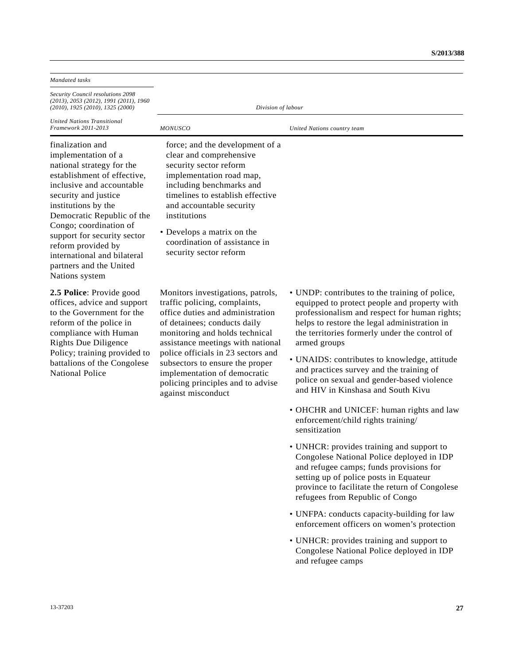| Mandated tasks                                                                                                                                                                                                                                                                                                                                                           |                                                                                                                                                                                                                                                                                                                                                                                   |                                                                                                                                                                                                                                                                                                                                                                                                                                                                                                                                                     |
|--------------------------------------------------------------------------------------------------------------------------------------------------------------------------------------------------------------------------------------------------------------------------------------------------------------------------------------------------------------------------|-----------------------------------------------------------------------------------------------------------------------------------------------------------------------------------------------------------------------------------------------------------------------------------------------------------------------------------------------------------------------------------|-----------------------------------------------------------------------------------------------------------------------------------------------------------------------------------------------------------------------------------------------------------------------------------------------------------------------------------------------------------------------------------------------------------------------------------------------------------------------------------------------------------------------------------------------------|
| Security Council resolutions 2098<br>$(2013)$ , 2053 (2012), 1991 (2011), 1960<br>$(2010)$ , 1925 $(2010)$ , 1325 $(2000)$                                                                                                                                                                                                                                               | Division of labour                                                                                                                                                                                                                                                                                                                                                                |                                                                                                                                                                                                                                                                                                                                                                                                                                                                                                                                                     |
| <b>United Nations Transitional</b><br>Framework 2011-2013                                                                                                                                                                                                                                                                                                                | <b>MONUSCO</b>                                                                                                                                                                                                                                                                                                                                                                    | United Nations country team                                                                                                                                                                                                                                                                                                                                                                                                                                                                                                                         |
| finalization and<br>implementation of a<br>national strategy for the<br>establishment of effective,<br>inclusive and accountable<br>security and justice<br>institutions by the<br>Democratic Republic of the<br>Congo; coordination of<br>support for security sector<br>reform provided by<br>international and bilateral<br>partners and the United<br>Nations system | force; and the development of a<br>clear and comprehensive<br>security sector reform<br>implementation road map,<br>including benchmarks and<br>timelines to establish effective<br>and accountable security<br>institutions<br>• Develops a matrix on the<br>coordination of assistance in<br>security sector reform                                                             |                                                                                                                                                                                                                                                                                                                                                                                                                                                                                                                                                     |
| 2.5 Police: Provide good<br>offices, advice and support<br>to the Government for the<br>reform of the police in<br>compliance with Human<br><b>Rights Due Diligence</b><br>Policy; training provided to<br>battalions of the Congolese<br><b>National Police</b>                                                                                                         | Monitors investigations, patrols,<br>traffic policing, complaints,<br>office duties and administration<br>of detainees; conducts daily<br>monitoring and holds technical<br>assistance meetings with national<br>police officials in 23 sectors and<br>subsectors to ensure the proper<br>implementation of democratic<br>policing principles and to advise<br>against misconduct | • UNDP: contributes to the training of police,<br>equipped to protect people and property with<br>professionalism and respect for human rights;<br>helps to restore the legal administration in<br>the territories formerly under the control of<br>armed groups<br>• UNAIDS: contributes to knowledge, attitude<br>and practices survey and the training of<br>police on sexual and gender-based violence<br>and HIV in Kinshasa and South Kivu<br>• OHCHR and UNICEF: human rights and law<br>enforcement/child rights training/<br>sensitization |

- UNHCR: provides training and support to Congolese National Police deployed in IDP and refugee camps; funds provisions for setting up of police posts in Equateur province to facilitate the return of Congolese refugees from Republic of Congo
- UNFPA: conducts capacity-building for law enforcement officers on women's protection
- UNHCR: provides training and support to Congolese National Police deployed in IDP and refugee camps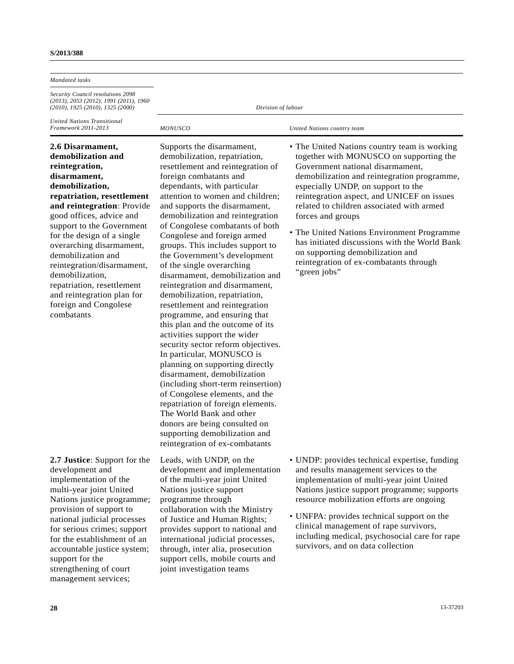| Mandated tasks                                                                                                                                                                                                                                                                                                                                                                                                                                       |                                                                                                                                                                                                                                                                                                                                                                                                                                                                                                                                                                                                                                                                                                                                                                                                                                                                                                                                                                                                                                                                    |                                                                                                                                                                                                                                                                                                                                                                                                                                                                                                                               |  |
|------------------------------------------------------------------------------------------------------------------------------------------------------------------------------------------------------------------------------------------------------------------------------------------------------------------------------------------------------------------------------------------------------------------------------------------------------|--------------------------------------------------------------------------------------------------------------------------------------------------------------------------------------------------------------------------------------------------------------------------------------------------------------------------------------------------------------------------------------------------------------------------------------------------------------------------------------------------------------------------------------------------------------------------------------------------------------------------------------------------------------------------------------------------------------------------------------------------------------------------------------------------------------------------------------------------------------------------------------------------------------------------------------------------------------------------------------------------------------------------------------------------------------------|-------------------------------------------------------------------------------------------------------------------------------------------------------------------------------------------------------------------------------------------------------------------------------------------------------------------------------------------------------------------------------------------------------------------------------------------------------------------------------------------------------------------------------|--|
| <i>Security Council resolutions 2098</i><br>(2013), 2053 (2012), 1991 (2011), 1960<br>(2010), 1925 (2010), 1325 (2000)                                                                                                                                                                                                                                                                                                                               | Division of labour                                                                                                                                                                                                                                                                                                                                                                                                                                                                                                                                                                                                                                                                                                                                                                                                                                                                                                                                                                                                                                                 |                                                                                                                                                                                                                                                                                                                                                                                                                                                                                                                               |  |
| United Nations Transitional<br>Framework 2011-2013                                                                                                                                                                                                                                                                                                                                                                                                   | <b>MONUSCO</b>                                                                                                                                                                                                                                                                                                                                                                                                                                                                                                                                                                                                                                                                                                                                                                                                                                                                                                                                                                                                                                                     | United Nations country team                                                                                                                                                                                                                                                                                                                                                                                                                                                                                                   |  |
| 2.6 Disarmament,<br>demobilization and<br>reintegration,<br>disarmament,<br>demobilization,<br>repatriation, resettlement<br>and reintegration: Provide<br>good offices, advice and<br>support to the Government<br>for the design of a single<br>overarching disarmament,<br>demobilization and<br>reintegration/disarmament,<br>demobilization,<br>repatriation, resettlement<br>and reintegration plan for<br>foreign and Congolese<br>combatants | Supports the disarmament,<br>demobilization, repatriation,<br>resettlement and reintegration of<br>foreign combatants and<br>dependants, with particular<br>attention to women and children;<br>and supports the disarmament,<br>demobilization and reintegration<br>of Congolese combatants of both<br>Congolese and foreign armed<br>groups. This includes support to<br>the Government's development<br>of the single overarching<br>disarmament, demobilization and<br>reintegration and disarmament,<br>demobilization, repatriation,<br>resettlement and reintegration<br>programme, and ensuring that<br>this plan and the outcome of its<br>activities support the wider<br>security sector reform objectives.<br>In particular, MONUSCO is<br>planning on supporting directly<br>disarmament, demobilization<br>(including short-term reinsertion)<br>of Congolese elements, and the<br>repatriation of foreign elements.<br>The World Bank and other<br>donors are being consulted on<br>supporting demobilization and<br>reintegration of ex-combatants | • The United Nations country team is working<br>together with MONUSCO on supporting the<br>Government national disarmament,<br>demobilization and reintegration programme,<br>especially UNDP, on support to the<br>reintegration aspect, and UNICEF on issues<br>related to children associated with armed<br>forces and groups<br>• The United Nations Environment Programme<br>has initiated discussions with the World Bank<br>on supporting demobilization and<br>reintegration of ex-combatants through<br>"green jobs" |  |
| 2.7 Justice: Support for the<br>development and<br>implementation of the<br>multi-year joint United<br>Nations justice programme;<br>provision of support to<br>national judicial processes<br>for serious crimes; support<br>for the establishment of an                                                                                                                                                                                            | Leads, with UNDP, on the<br>development and implementation<br>of the multi-year joint United<br>Nations justice support<br>programme through<br>collaboration with the Ministry<br>of Justice and Human Rights;<br>provides support to national and<br>international judicial processes,                                                                                                                                                                                                                                                                                                                                                                                                                                                                                                                                                                                                                                                                                                                                                                           | • UNDP: provides technical expertise, funding<br>and results management services to the<br>implementation of multi-year joint United<br>Nations justice support programme; supports<br>resource mobilization efforts are ongoing<br>• UNFPA: provides technical support on the<br>clinical management of rape survivors,<br>including medical, psychosocial care for rape                                                                                                                                                     |  |

through, inter alia, prosecution support cells, mobile courts and

joint investigation teams

**28** 13-37203

survivors, and on data collection

accountable justice system;

support for the strengthening of court management services;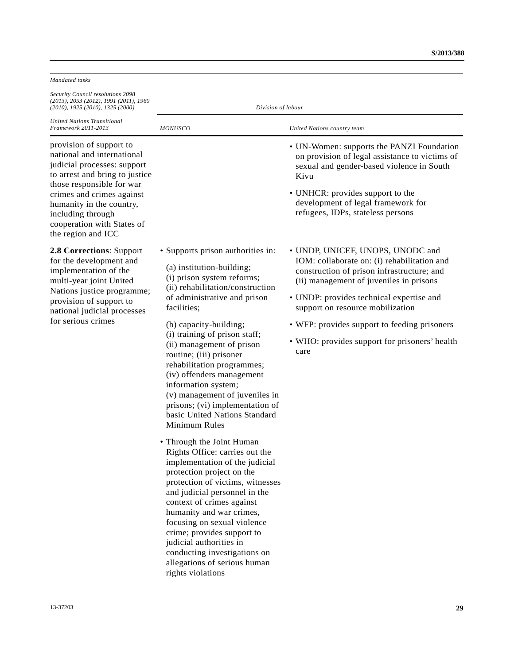| Mandated tasks                                                                                                                                                                                                                                                                        |                                                                                                                                                                                                                                                                                                                                                                                                                                       |                                                                                                                                                                          |  |
|---------------------------------------------------------------------------------------------------------------------------------------------------------------------------------------------------------------------------------------------------------------------------------------|---------------------------------------------------------------------------------------------------------------------------------------------------------------------------------------------------------------------------------------------------------------------------------------------------------------------------------------------------------------------------------------------------------------------------------------|--------------------------------------------------------------------------------------------------------------------------------------------------------------------------|--|
| Security Council resolutions 2098<br>$(2013)$ , 2053 (2012), 1991 (2011), 1960<br>$(2010)$ , 1925 $(2010)$ , 1325 $(2000)$                                                                                                                                                            | Division of labour                                                                                                                                                                                                                                                                                                                                                                                                                    |                                                                                                                                                                          |  |
| <b>United Nations Transitional</b><br>Framework 2011-2013                                                                                                                                                                                                                             | <b>MONUSCO</b>                                                                                                                                                                                                                                                                                                                                                                                                                        | United Nations country team                                                                                                                                              |  |
| provision of support to<br>national and international<br>judicial processes: support<br>to arrest and bring to justice<br>those responsible for war<br>crimes and crimes against<br>humanity in the country,<br>including through<br>cooperation with States of<br>the region and ICC |                                                                                                                                                                                                                                                                                                                                                                                                                                       | • UN-Women: supports the PANZI Foundation<br>on provision of legal assistance to victims of<br>sexual and gender-based violence in South<br>Kivu                         |  |
|                                                                                                                                                                                                                                                                                       |                                                                                                                                                                                                                                                                                                                                                                                                                                       | • UNHCR: provides support to the<br>development of legal framework for<br>refugees, IDPs, stateless persons                                                              |  |
| 2.8 Corrections: Support<br>for the development and<br>implementation of the<br>multi-year joint United                                                                                                                                                                               | • Supports prison authorities in:<br>(a) institution-building;<br>(i) prison system reforms;<br>(ii) rehabilitation/construction                                                                                                                                                                                                                                                                                                      | • UNDP, UNICEF, UNOPS, UNODC and<br>IOM: collaborate on: (i) rehabilitation and<br>construction of prison infrastructure; and<br>(ii) management of juveniles in prisons |  |
| Nations justice programme;<br>provision of support to<br>national judicial processes                                                                                                                                                                                                  | of administrative and prison<br>facilities;                                                                                                                                                                                                                                                                                                                                                                                           | • UNDP: provides technical expertise and<br>support on resource mobilization                                                                                             |  |
| for serious crimes                                                                                                                                                                                                                                                                    | (b) capacity-building;<br>(i) training of prison staff;<br>(ii) management of prison<br>routine; (iii) prisoner<br>rehabilitation programmes;<br>(iv) offenders management<br>information system;<br>(v) management of juveniles in<br>prisons; (vi) implementation of<br>basic United Nations Standard<br>Minimum Rules                                                                                                              | • WFP: provides support to feeding prisoners<br>• WHO: provides support for prisoners' health<br>care                                                                    |  |
|                                                                                                                                                                                                                                                                                       | • Through the Joint Human<br>Rights Office: carries out the<br>implementation of the judicial<br>protection project on the<br>protection of victims, witnesses<br>and judicial personnel in the<br>context of crimes against<br>humanity and war crimes,<br>focusing on sexual violence<br>crime; provides support to<br>judicial authorities in<br>conducting investigations on<br>allegations of serious human<br>rights violations |                                                                                                                                                                          |  |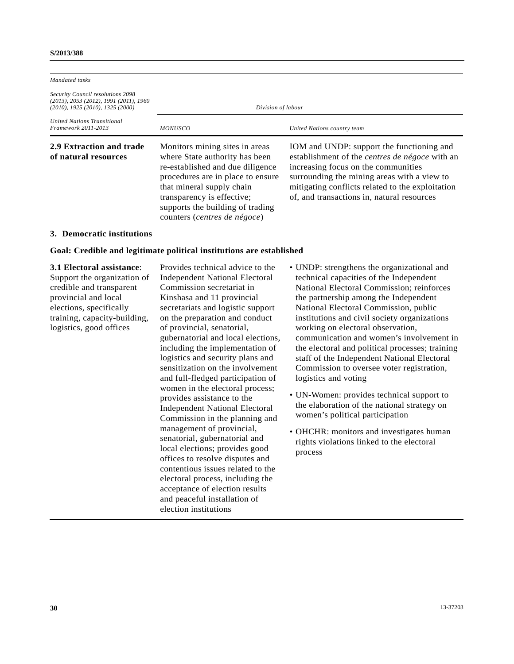| Mandated tasks                                                                                                             |                                                                                                                                                                                                                                                                          |                                                                                                                                                                                                                                                                                            |
|----------------------------------------------------------------------------------------------------------------------------|--------------------------------------------------------------------------------------------------------------------------------------------------------------------------------------------------------------------------------------------------------------------------|--------------------------------------------------------------------------------------------------------------------------------------------------------------------------------------------------------------------------------------------------------------------------------------------|
| Security Council resolutions 2098<br>$(2013)$ , 2053 (2012), 1991 (2011), 1960<br>$(2010)$ , 1925 $(2010)$ , 1325 $(2000)$ | Division of labour                                                                                                                                                                                                                                                       |                                                                                                                                                                                                                                                                                            |
| <b>United Nations Transitional</b><br>Framework 2011-2013                                                                  | <b>MONUSCO</b>                                                                                                                                                                                                                                                           | United Nations country team                                                                                                                                                                                                                                                                |
| 2.9 Extraction and trade<br>of natural resources                                                                           | Monitors mining sites in areas<br>where State authority has been<br>re-established and due diligence<br>procedures are in place to ensure<br>that mineral supply chain<br>transparency is effective;<br>supports the building of trading<br>counters (centres de négoce) | IOM and UNDP: support the functioning and<br>establishment of the <i>centres de négoce</i> with an<br>increasing focus on the communities<br>surrounding the mining areas with a view to<br>mitigating conflicts related to the exploitation<br>of, and transactions in, natural resources |
| 3. Democratic institutions                                                                                                 |                                                                                                                                                                                                                                                                          |                                                                                                                                                                                                                                                                                            |

# **Goal: Credible and legitimate political institutions are established**

## **3.1 Electoral assistance**:

Support the organization of credible and transparent provincial and local elections, specifically training, capacity-building, logistics, good offices

Provides technical advice to the Independent National Electoral Commission secretariat in Kinshasa and 11 provincial secretariats and logistic support on the preparation and conduct of provincial, senatorial, gubernatorial and local elections, including the implementation of logistics and security plans and sensitization on the involvement and full-fledged participation of women in the electoral process; provides assistance to the Independent National Electoral Commission in the planning and management of provincial, senatorial, gubernatorial and local elections; provides good offices to resolve disputes and contentious issues related to the electoral process, including the acceptance of election results and peaceful installation of election institutions

- UNDP: strengthens the organizational and technical capacities of the Independent National Electoral Commission; reinforces the partnership among the Independent National Electoral Commission, public institutions and civil society organizations working on electoral observation, communication and women's involvement in the electoral and political processes; training staff of the Independent National Electoral Commission to oversee voter registration, logistics and voting
- UN-Women: provides technical support to the elaboration of the national strategy on women's political participation
- OHCHR: monitors and investigates human rights violations linked to the electoral process